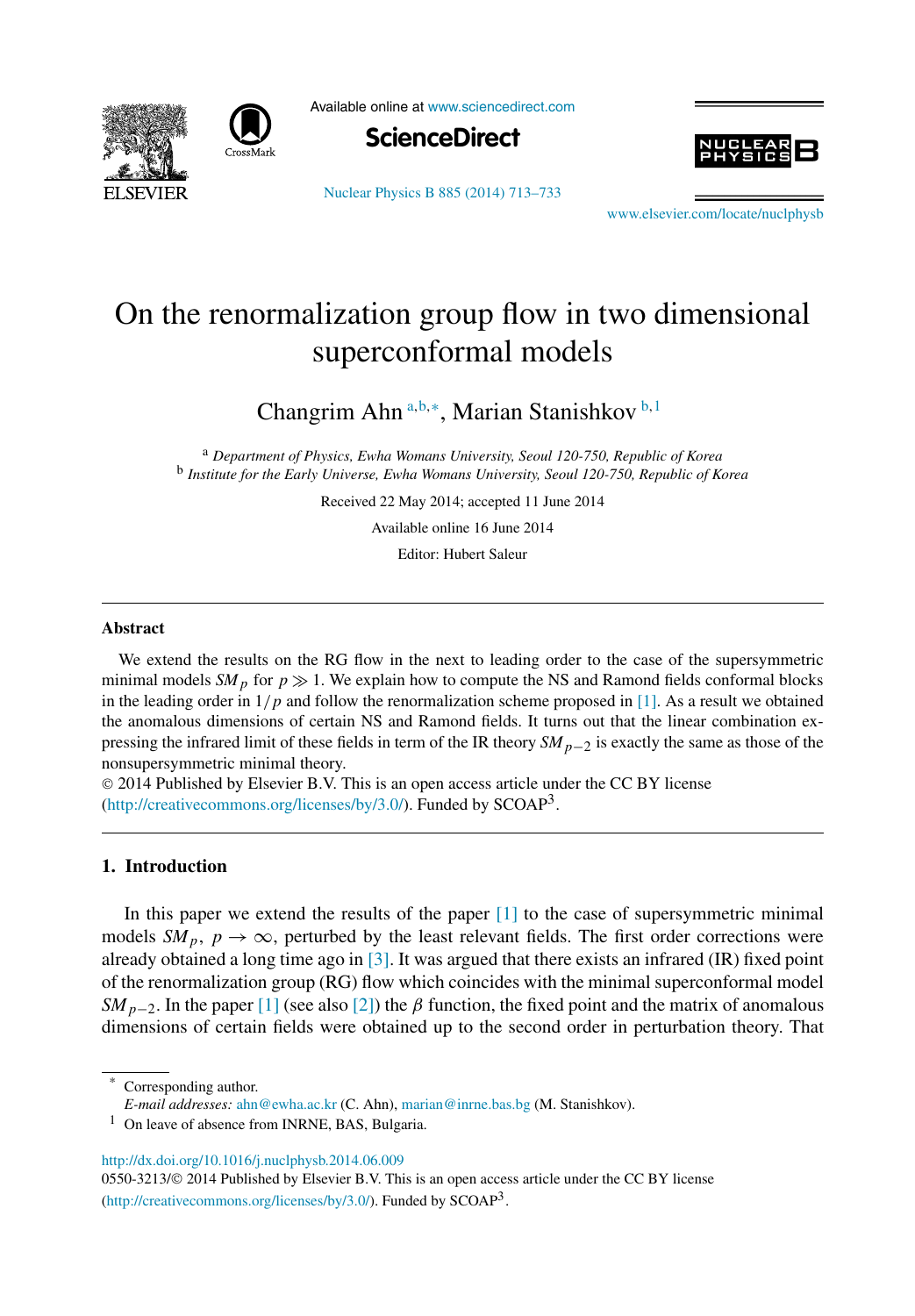



Available online at [www.sciencedirect.com](http://www.sciencedirect.com)



[Nuclear Physics B 885 \(2014\) 713–733](http://dx.doi.org/10.1016/j.nuclphysb.2014.06.009)



www.elsevier.com/locate/nuclphysh

# On the renormalization group flow in two dimensional superconformal models

Changrim Ahn <sup>a</sup>*,*b*,*<sup>∗</sup> , Marian Stanishkov <sup>b</sup>*,*<sup>1</sup>

<sup>a</sup> *Department of Physics, Ewha Womans University, Seoul 120-750, Republic of Korea* <sup>b</sup> *Institute for the Early Universe, Ewha Womans University, Seoul 120-750, Republic of Korea*

Received 22 May 2014; accepted 11 June 2014

Available online 16 June 2014

Editor: Hubert Saleur

#### **Abstract**

We extend the results on the RG flow in the next to leading order to the case of the supersymmetric minimal models  $SM_p$  for  $p \gg 1$ . We explain how to compute the NS and Ramond fields conformal blocks in the leading order in  $1/p$  and follow the renormalization scheme proposed in [\[1\].](#page-20-0) As a result we obtained the anomalous dimensions of certain NS and Ramond fields. It turns out that the linear combination expressing the infrared limit of these fields in term of the IR theory *SMp*−2 is exactly the same as those of the nonsupersymmetric minimal theory.

© 2014 Published by Elsevier B.V. This is an open access article under the CC BY license [\(http://creativecommons.org/licenses/by/3.0/](http://creativecommons.org/licenses/by/3.0/)). Funded by  $SCOAP<sup>3</sup>$ .

#### **1. Introduction**

In this paper we extend the results of the paper [\[1\]](#page-20-0) to the case of supersymmetric minimal models  $SM_p$ ,  $p \rightarrow \infty$ , perturbed by the least relevant fields. The first order corrections were already obtained a long time ago in  $\lceil 3 \rceil$ . It was argued that there exists an infrared (IR) fixed point of the renormalization group (RG) flow which coincides with the minimal superconformal model  $SM_{p-2}$ . In the paper [\[1\]](#page-20-0) (see also [\[2\]\)](#page-20-0) the *β* function, the fixed point and the matrix of anomalous dimensions of certain fields were obtained up to the second order in perturbation theory. That

Corresponding author.

<http://dx.doi.org/10.1016/j.nuclphysb.2014.06.009>

*E-mail addresses:* [ahn@ewha.ac.kr](mailto:ahn@ewha.ac.kr) (C. Ahn), [marian@inrne.bas.bg](mailto:marian@inrne.bas.bg) (M. Stanishkov).

 $1$  On leave of absence from INRNE, BAS, Bulgaria.

<sup>0550-3213/</sup>© 2014 Published by Elsevier B.V. This is an open access article under the CC BY license [\(http://creativecommons.org/licenses/by/3.0/](http://creativecommons.org/licenses/by/3.0/)). Funded by  $SCOAP<sup>3</sup>$ .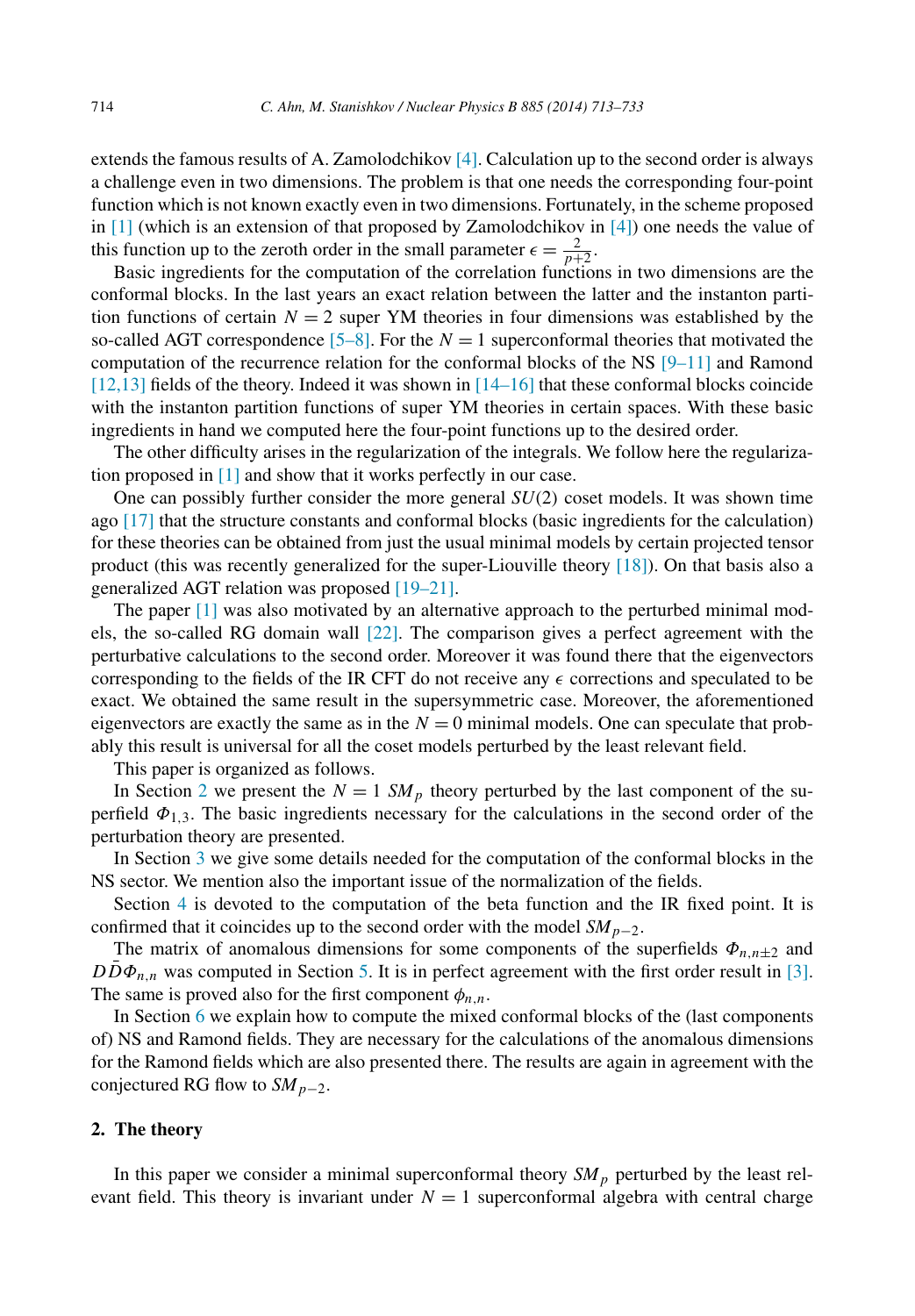extends the famous results of A. Zamolodchikov [\[4\].](#page-20-0) Calculation up to the second order is always a challenge even in two dimensions. The problem is that one needs the corresponding four-point function which is not known exactly even in two dimensions. Fortunately, in the scheme proposed in  $[1]$  (which is an extension of that proposed by Zamolodchikov in  $[4]$ ) one needs the value of this function up to the zeroth order in the small parameter  $\epsilon = \frac{2}{p+2}$ .

Basic ingredients for the computation of the correlation functions in two dimensions are the conformal blocks. In the last years an exact relation between the latter and the instanton partition functions of certain  $N = 2$  super YM theories in four dimensions was established by the so-called AGT correspondence  $[5-8]$ . For the  $N=1$  superconformal theories that motivated the computation of the recurrence relation for the conformal blocks of the NS  $[9-11]$  and Ramond  $[12,13]$  fields of the theory. Indeed it was shown in  $[14–16]$  that these conformal blocks coincide with the instanton partition functions of super YM theories in certain spaces. With these basic ingredients in hand we computed here the four-point functions up to the desired order.

The other difficulty arises in the regularization of the integrals. We follow here the regularization proposed in [\[1\]](#page-20-0) and show that it works perfectly in our case.

One can possibly further consider the more general *SU(*2*)* coset models. It was shown time ago [\[17\]](#page-20-0) that the structure constants and conformal blocks (basic ingredients for the calculation) for these theories can be obtained from just the usual minimal models by certain projected tensor product (this was recently generalized for the super-Liouville theory [\[18\]\)](#page-20-0). On that basis also a generalized AGT relation was proposed [\[19–21\].](#page-20-0)

The paper [\[1\]](#page-20-0) was also motivated by an alternative approach to the perturbed minimal models, the so-called RG domain wall [\[22\].](#page-20-0) The comparison gives a perfect agreement with the perturbative calculations to the second order. Moreover it was found there that the eigenvectors corresponding to the fields of the IR CFT do not receive any  $\epsilon$  corrections and speculated to be exact. We obtained the same result in the supersymmetric case. Moreover, the aforementioned eigenvectors are exactly the same as in the  $N = 0$  minimal models. One can speculate that probably this result is universal for all the coset models perturbed by the least relevant field.

This paper is organized as follows.

In Section 2 we present the  $N = 1$  *SM<sub>p</sub>* theory perturbed by the last component of the superfield  $\Phi_{1,3}$ . The basic ingredients necessary for the calculations in the second order of the perturbation theory are presented.

In Section [3](#page-3-0) we give some details needed for the computation of the conformal blocks in the NS sector. We mention also the important issue of the normalization of the fields.

Section [4](#page-5-0) is devoted to the computation of the beta function and the IR fixed point. It is confirmed that it coincides up to the second order with the model *SMp*<sup>−</sup>2.

The matrix of anomalous dimensions for some components of the superfields  $\Phi_{n,n+2}$  and  $DD\Phi_{n,n}$  was computed in Section [5.](#page-7-0) It is in perfect agreement with the first order result in [\[3\].](#page-20-0) The same is proved also for the first component  $\phi_{n,n}$ .

In Section [6](#page-15-0) we explain how to compute the mixed conformal blocks of the (last components of) NS and Ramond fields. They are necessary for the calculations of the anomalous dimensions for the Ramond fields which are also presented there. The results are again in agreement with the conjectured RG flow to *SMp*<sup>−</sup>2.

#### **2. The theory**

In this paper we consider a minimal superconformal theory *SM<sup>p</sup>* perturbed by the least relevant field. This theory is invariant under  $N = 1$  superconformal algebra with central charge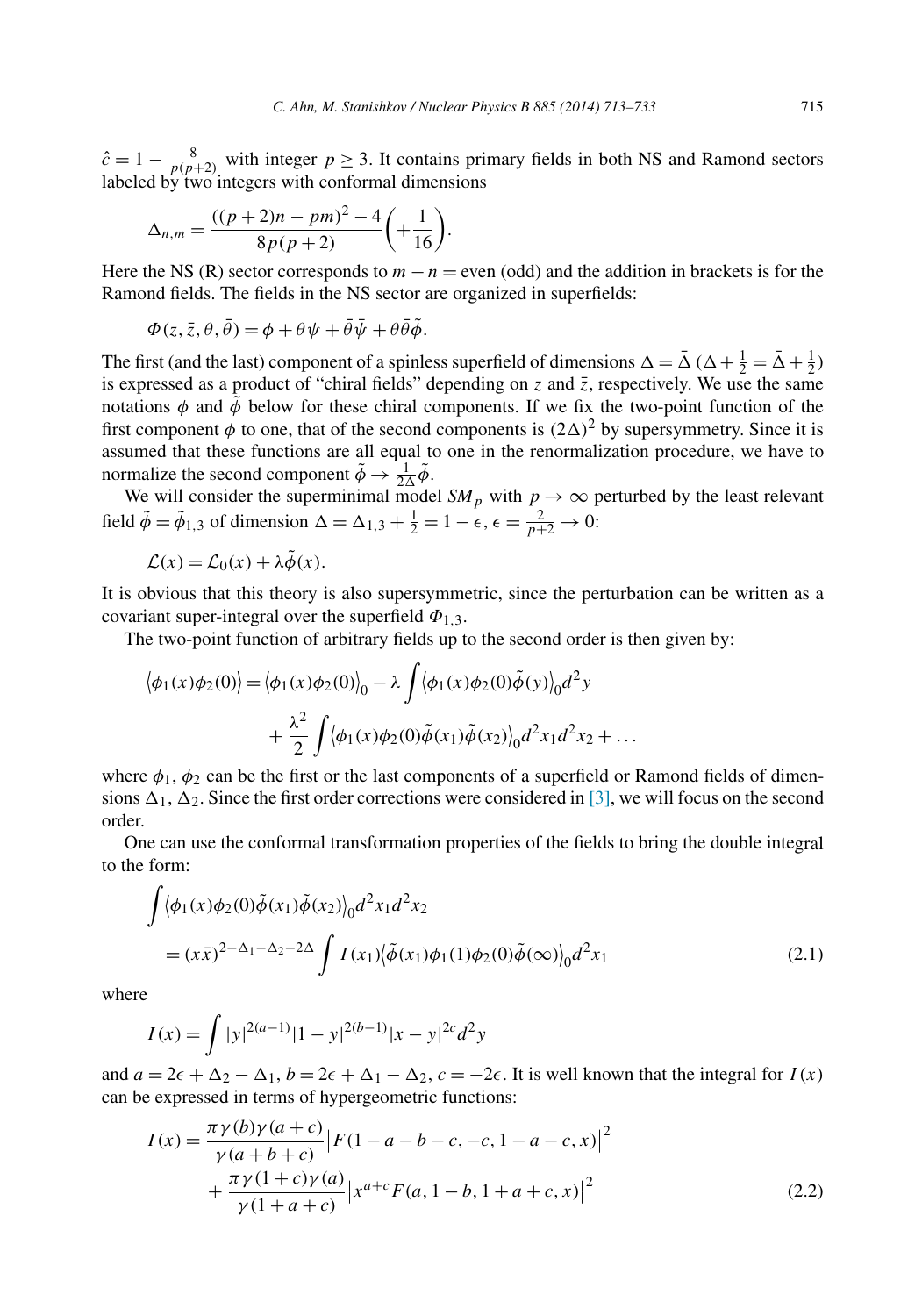<span id="page-2-0"></span> $\hat{c} = 1 - \frac{8}{p(p+2)}$  with integer  $p \ge 3$ . It contains primary fields in both NS and Ramond sectors labeled by two integers with conformal dimensions

$$
\Delta_{n,m} = \frac{((p+2)n - pm)^2 - 4}{8p(p+2)} \left( +\frac{1}{16} \right).
$$

Here the NS (R) sector corresponds to  $m - n =$  even (odd) and the addition in brackets is for the Ramond fields. The fields in the NS sector are organized in superfields:

$$
\Phi(z, \bar{z}, \theta, \bar{\theta}) = \phi + \theta \psi + \bar{\theta} \bar{\psi} + \theta \bar{\theta} \tilde{\phi}.
$$

The first (and the last) component of a spinless superfield of dimensions  $\Delta = \bar{\Delta} (\Delta + \frac{1}{2} = \bar{\Delta} + \frac{1}{2})$ is expressed as a product of "chiral fields" depending on *z* and  $\bar{z}$ , respectively. We use the same notations  $\phi$  and  $\tilde{\phi}$  below for these chiral components. If we fix the two-point function of the first component  $\phi$  to one, that of the second components is  $(2\Delta)^2$  by supersymmetry. Since it is assumed that these functions are all equal to one in the renormalization procedure, we have to normalize the second component  $\tilde{\phi} \rightarrow \frac{1}{2\Delta} \tilde{\phi}$ .

We will consider the superminimal model  $SM_p$  with  $p \to \infty$  perturbed by the least relevant field  $\tilde{\phi} = \tilde{\phi}_{1,3}$  of dimension  $\Delta = \Delta_{1,3} + \frac{1}{2} = 1 - \epsilon, \epsilon = \frac{2}{p+2} \to 0$ :

$$
\mathcal{L}(x) = \mathcal{L}_0(x) + \lambda \tilde{\phi}(x).
$$

It is obvious that this theory is also supersymmetric, since the perturbation can be written as a covariant super-integral over the superfield  $\Phi_{1,3}$ .

The two-point function of arbitrary fields up to the second order is then given by:

$$
\langle \phi_1(x)\phi_2(0)\rangle = \langle \phi_1(x)\phi_2(0)\rangle_0 - \lambda \int \langle \phi_1(x)\phi_2(0)\tilde{\phi}(y)\rangle_0 d^2y
$$

$$
+ \frac{\lambda^2}{2} \int \langle \phi_1(x)\phi_2(0)\tilde{\phi}(x_1)\tilde{\phi}(x_2)\rangle_0 d^2x_1 d^2x_2 + \dots
$$

where  $\phi_1$ ,  $\phi_2$  can be the first or the last components of a superfield or Ramond fields of dimensions  $\Delta_1$ ,  $\Delta_2$ . Since the first order corrections were considered in [\[3\],](#page-20-0) we will focus on the second order.

One can use the conformal transformation properties of the fields to bring the double integral to the form:

$$
\int \langle \phi_1(x)\phi_2(0)\tilde{\phi}(x_1)\tilde{\phi}(x_2)\rangle_0 d^2x_1 d^2x_2
$$
  
=  $(x\bar{x})^{2-\Delta_1-\Delta_2-2\Delta} \int I(x_1) \langle \tilde{\phi}(x_1)\phi_1(1)\phi_2(0)\tilde{\phi}(\infty)\rangle_0 d^2x_1$  (2.1)

where

$$
I(x) = \int |y|^{2(a-1)} |1-y|^{2(b-1)} |x-y|^{2c} d^2 y
$$

and  $a = 2\epsilon + \Delta_2 - \Delta_1$ ,  $b = 2\epsilon + \Delta_1 - \Delta_2$ ,  $c = -2\epsilon$ . It is well known that the integral for  $I(x)$ can be expressed in terms of hypergeometric functions:

$$
I(x) = \frac{\pi \gamma(b)\gamma(a+c)}{\gamma(a+b+c)} |F(1-a-b-c, -c, 1-a-c, x)|^2
$$
  
+ 
$$
\frac{\pi \gamma(1+c)\gamma(a)}{\gamma(1+a+c)} |x^{a+c}F(a, 1-b, 1+a+c, x)|^2
$$
 (2.2)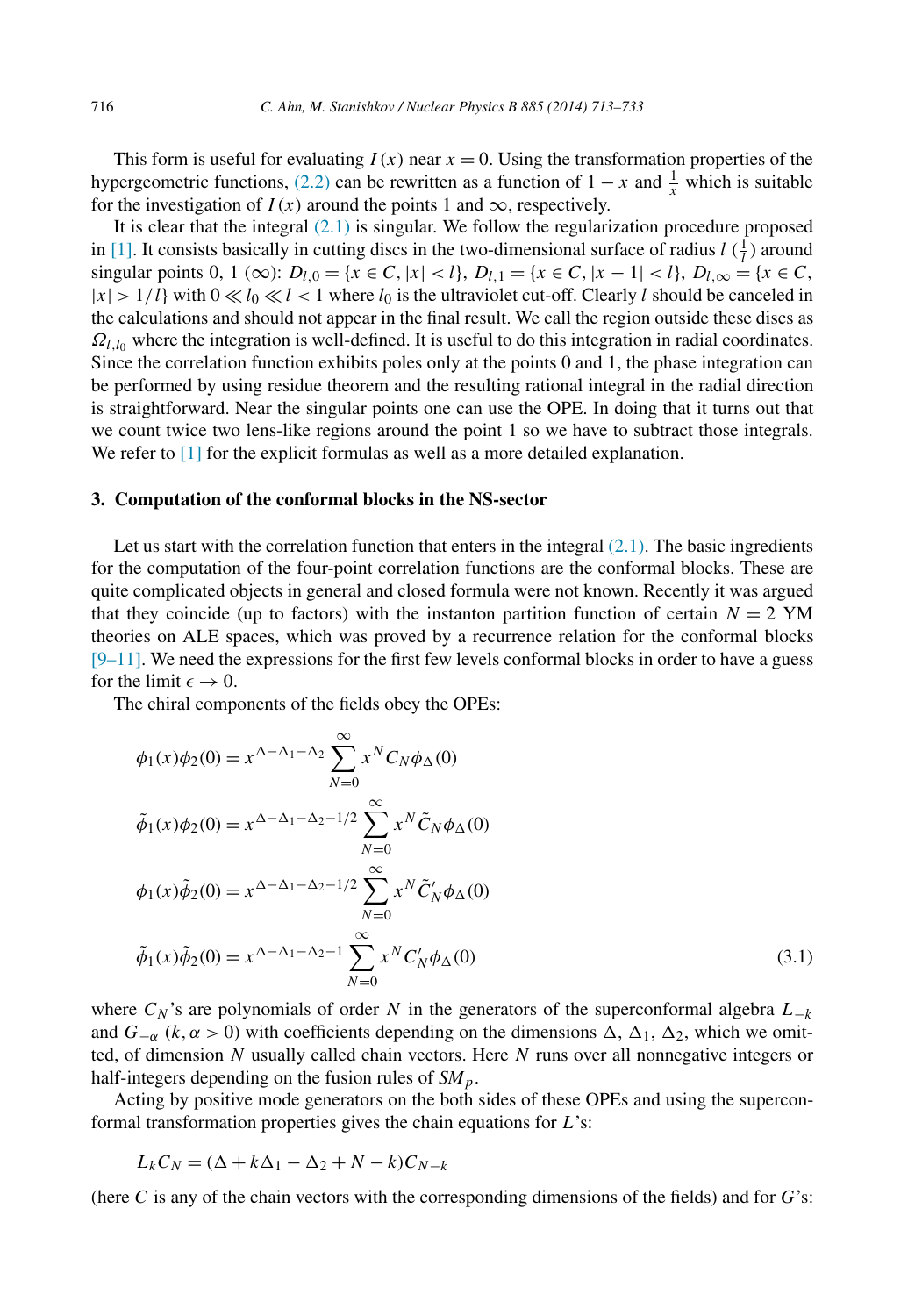<span id="page-3-0"></span>This form is useful for evaluating  $I(x)$  near  $x = 0$ . Using the transformation properties of the hypergeometric functions, [\(2.2\)](#page-2-0) can be rewritten as a function of  $1 - x$  and  $\frac{1}{x}$  which is suitable for the investigation of  $I(x)$  around the points 1 and  $\infty$ , respectively.

It is clear that the integral  $(2.1)$  is singular. We follow the regularization procedure proposed in [\[1\].](#page-20-0) It consists basically in cutting discs in the two-dimensional surface of radius  $l(\frac{1}{l})$  around singular points 0, 1 (∞):  $D_{l,0} = \{x \in C, |x| < l\}$ ,  $D_{l,1} = \{x \in C, |x - 1| < l\}$ ,  $D_{l,\infty} = \{x \in C,$  $|x| > 1/l$  with  $0 \ll l_0 \ll l < 1$  where  $l_0$  is the ultraviolet cut-off. Clearly *l* should be canceled in the calculations and should not appear in the final result. We call the region outside these discs as  $Q_{l,l_0}$  where the integration is well-defined. It is useful to do this integration in radial coordinates. Since the correlation function exhibits poles only at the points 0 and 1, the phase integration can be performed by using residue theorem and the resulting rational integral in the radial direction is straightforward. Near the singular points one can use the OPE. In doing that it turns out that we count twice two lens-like regions around the point 1 so we have to subtract those integrals. We refer to [\[1\]](#page-20-0) for the explicit formulas as well as a more detailed explanation.

#### **3. Computation of the conformal blocks in the NS-sector**

Let us start with the correlation function that enters in the integral  $(2.1)$ . The basic ingredients for the computation of the four-point correlation functions are the conformal blocks. These are quite complicated objects in general and closed formula were not known. Recently it was argued that they coincide (up to factors) with the instanton partition function of certain  $N = 2$  YM theories on ALE spaces, which was proved by a recurrence relation for the conformal blocks  $[9-11]$ . We need the expressions for the first few levels conformal blocks in order to have a guess for the limit  $\epsilon \to 0$ .

The chiral components of the fields obey the OPEs:

$$
\phi_1(x)\phi_2(0) = x^{\Delta-\Delta_1-\Delta_2} \sum_{N=0}^{\infty} x^N C_N \phi_{\Delta}(0)
$$
  

$$
\tilde{\phi}_1(x)\phi_2(0) = x^{\Delta-\Delta_1-\Delta_2-1/2} \sum_{N=0}^{\infty} x^N \tilde{C}_N \phi_{\Delta}(0)
$$
  

$$
\phi_1(x)\tilde{\phi}_2(0) = x^{\Delta-\Delta_1-\Delta_2-1/2} \sum_{N=0}^{\infty} x^N \tilde{C}'_N \phi_{\Delta}(0)
$$
  

$$
\tilde{\phi}_1(x)\tilde{\phi}_2(0) = x^{\Delta-\Delta_1-\Delta_2-1} \sum_{N=0}^{\infty} x^N C'_N \phi_{\Delta}(0)
$$
 (3.1)

where  $C_N$ 's are polynomials of order *N* in the generators of the superconformal algebra  $L_{-k}$ and  $G_{-\alpha}$  ( $k, \alpha > 0$ ) with coefficients depending on the dimensions  $\Delta$ ,  $\Delta_1$ ,  $\Delta_2$ , which we omitted, of dimension *N* usually called chain vectors. Here *N* runs over all nonnegative integers or half-integers depending on the fusion rules of *SMp*.

Acting by positive mode generators on the both sides of these OPEs and using the superconformal transformation properties gives the chain equations for *L*'s:

$$
L_k C_N = (\Delta + k\Delta_1 - \Delta_2 + N - k)C_{N-k}
$$

(here *C* is any of the chain vectors with the corresponding dimensions of the fields) and for *G*'s: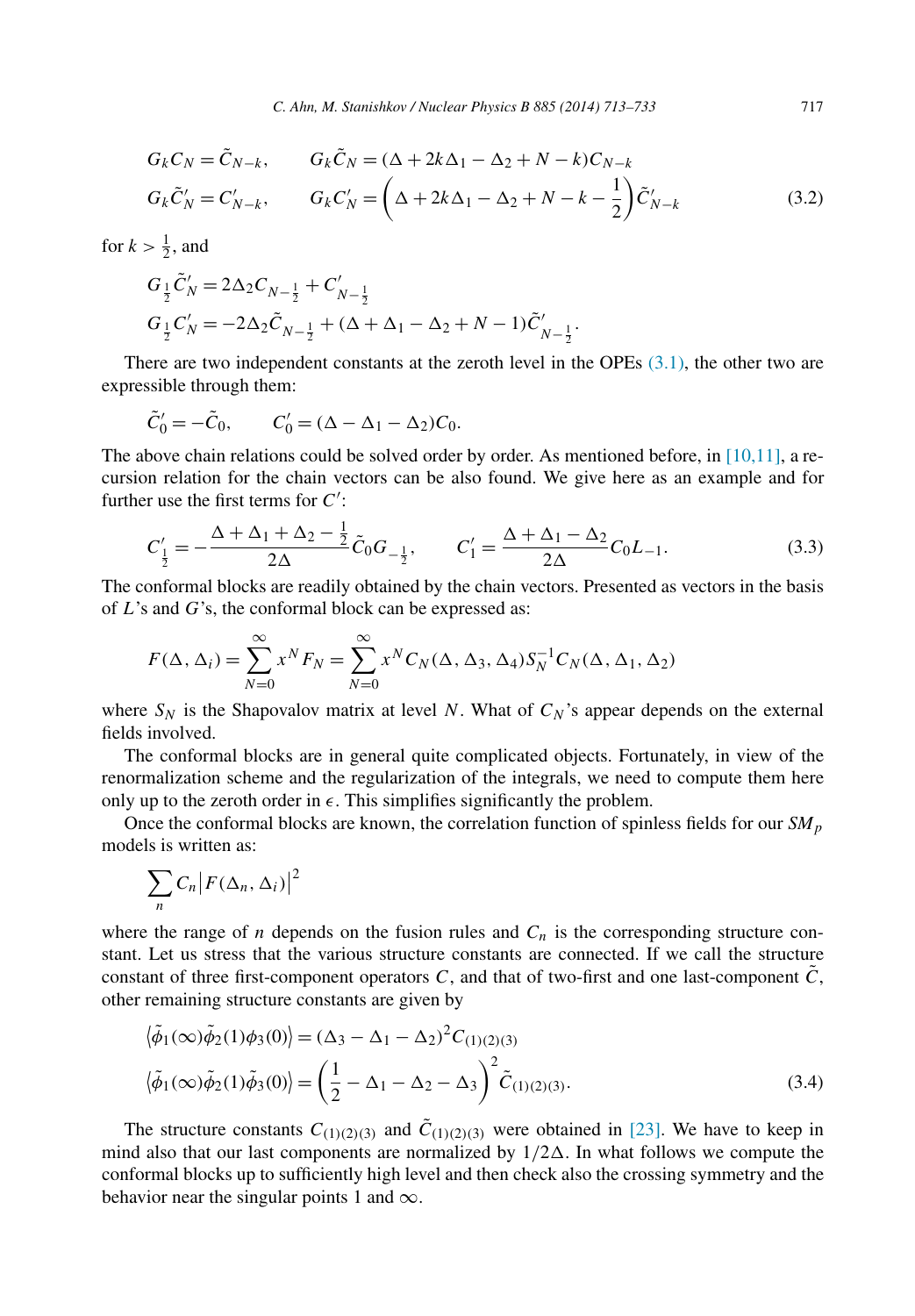<span id="page-4-0"></span>
$$
G_k C_N = \tilde{C}_{N-k}, \qquad G_k \tilde{C}_N = (\Delta + 2k\Delta_1 - \Delta_2 + N - k)C_{N-k}
$$
  
\n
$$
G_k \tilde{C}'_N = C'_{N-k}, \qquad G_k C'_N = \left(\Delta + 2k\Delta_1 - \Delta_2 + N - k - \frac{1}{2}\right) \tilde{C}'_{N-k}
$$
\n(3.2)

for  $k > \frac{1}{2}$ , and

$$
G_{\frac{1}{2}}\tilde{C}'_{N} = 2\Delta_{2}C_{N-\frac{1}{2}} + C'_{N-\frac{1}{2}}
$$
  
\n
$$
G_{\frac{1}{2}}C'_{N} = -2\Delta_{2}\tilde{C}_{N-\frac{1}{2}} + (\Delta + \Delta_{1} - \Delta_{2} + N - 1)\tilde{C}'_{N-\frac{1}{2}}.
$$

There are two independent constants at the zeroth level in the OPEs [\(3.1\),](#page-3-0) the other two are expressible through them:

$$
\tilde{C}'_0 = -\tilde{C}_0
$$
,  $C'_0 = (\Delta - \Delta_1 - \Delta_2)C_0$ .

The above chain relations could be solved order by order. As mentioned before, in  $[10,11]$ , a recursion relation for the chain vectors can be also found. We give here as an example and for further use the first terms for C':

$$
C'_{\frac{1}{2}} = -\frac{\Delta + \Delta_1 + \Delta_2 - \frac{1}{2}}{2\Delta} \tilde{C}_0 G_{-\frac{1}{2}}, \qquad C'_1 = \frac{\Delta + \Delta_1 - \Delta_2}{2\Delta} C_0 L_{-1}.
$$
 (3.3)

The conformal blocks are readily obtained by the chain vectors. Presented as vectors in the basis of *L*'s and *G*'s, the conformal block can be expressed as:

$$
F(\Delta, \Delta_i) = \sum_{N=0}^{\infty} x^N F_N = \sum_{N=0}^{\infty} x^N C_N(\Delta, \Delta_3, \Delta_4) S_N^{-1} C_N(\Delta, \Delta_1, \Delta_2)
$$

where  $S_N$  is the Shapovalov matrix at level *N*. What of  $C_N$ 's appear depends on the external fields involved.

The conformal blocks are in general quite complicated objects. Fortunately, in view of the renormalization scheme and the regularization of the integrals, we need to compute them here only up to the zeroth order in  $\epsilon$ . This simplifies significantly the problem.

Once the conformal blocks are known, the correlation function of spinless fields for our *SM<sup>p</sup>* models is written as:

$$
\sum_{n} C_{n} |F(\Delta_{n}, \Delta_{i})|^{2}
$$

where the range of *n* depends on the fusion rules and  $C_n$  is the corresponding structure constant. Let us stress that the various structure constants are connected. If we call the structure constant of three first-component operators  $C$ , and that of two-first and one last-component  $C$ , other remaining structure constants are given by

$$
\langle \tilde{\phi}_1(\infty)\tilde{\phi}_2(1)\phi_3(0)\rangle = (\Delta_3 - \Delta_1 - \Delta_2)^2 C_{(1)(2)(3)}
$$
  

$$
\langle \tilde{\phi}_1(\infty)\tilde{\phi}_2(1)\tilde{\phi}_3(0)\rangle = \left(\frac{1}{2} - \Delta_1 - \Delta_2 - \Delta_3\right)^2 \tilde{C}_{(1)(2)(3)}.
$$
 (3.4)

The structure constants  $C_{(1)(2)(3)}$  and  $\tilde{C}_{(1)(2)(3)}$  were obtained in [\[23\].](#page-20-0) We have to keep in mind also that our last components are normalized by  $1/2\Delta$ . In what follows we compute the conformal blocks up to sufficiently high level and then check also the crossing symmetry and the behavior near the singular points 1 and  $\infty$ .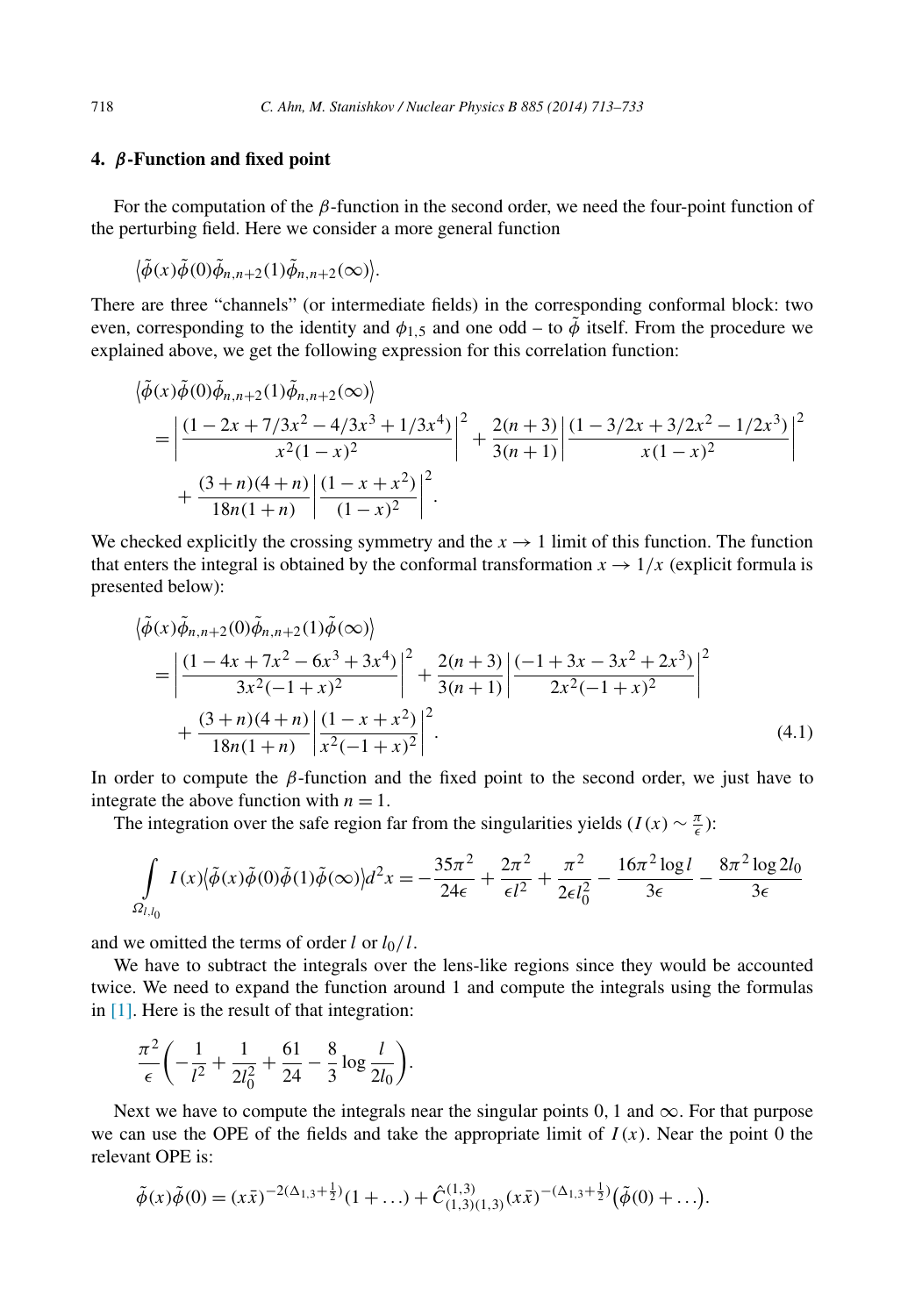# <span id="page-5-0"></span>**4.** *β***-Function and fixed point**

For the computation of the *β*-function in the second order, we need the four-point function of the perturbing field. Here we consider a more general function

$$
\big\langle \tilde{\phi}(x)\tilde{\phi}(0)\tilde{\phi}_{n,n+2}(1)\tilde{\phi}_{n,n+2}(\infty)\big\rangle.
$$

There are three "channels" (or intermediate fields) in the corresponding conformal block: two even, corresponding to the identity and  $\phi_{1.5}$  and one odd – to  $\tilde{\phi}$  itself. From the procedure we explained above, we get the following expression for this correlation function:

$$
\begin{split} & \left\langle \tilde{\phi}(x)\tilde{\phi}(0)\tilde{\phi}_{n,n+2}(1)\tilde{\phi}_{n,n+2}(\infty) \right\rangle \\ &= \left| \frac{(1-2x+7/3x^2-4/3x^3+1/3x^4)}{x^2(1-x)^2} \right|^2 + \frac{2(n+3)}{3(n+1)} \left| \frac{(1-3/2x+3/2x^2-1/2x^3)}{x(1-x)^2} \right|^2 \\ &+ \frac{(3+n)(4+n)}{18n(1+n)} \left| \frac{(1-x+x^2)}{(1-x)^2} \right|^2. \end{split}
$$

We checked explicitly the crossing symmetry and the  $x \to 1$  limit of this function. The function that enters the integral is obtained by the conformal transformation  $x \to 1/x$  (explicit formula is presented below):

$$
\langle \tilde{\phi}(x)\tilde{\phi}_{n,n+2}(0)\tilde{\phi}_{n,n+2}(1)\tilde{\phi}(\infty) \rangle \n= \left| \frac{(1-4x+7x^2-6x^3+3x^4)}{3x^2(-1+x)^2} \right|^2 + \frac{2(n+3)}{3(n+1)} \left| \frac{(-1+3x-3x^2+2x^3)}{2x^2(-1+x)^2} \right|^2 \n+ \frac{(3+n)(4+n)}{18n(1+n)} \left| \frac{(1-x+x^2)}{x^2(-1+x)^2} \right|^2.
$$
\n(4.1)

In order to compute the  $\beta$ -function and the fixed point to the second order, we just have to integrate the above function with  $n = 1$ .

The integration over the safe region far from the singularities yields ( $I(x) \sim \frac{\pi}{\epsilon}$ ):

$$
\int_{\Omega_{l,l_0}} I(x) \langle \tilde{\phi}(x) \tilde{\phi}(0) \tilde{\phi}(1) \tilde{\phi}(\infty) \rangle d^2 x = -\frac{35\pi^2}{24\epsilon} + \frac{2\pi^2}{\epsilon l^2} + \frac{\pi^2}{2\epsilon l_0^2} - \frac{16\pi^2 \log l}{3\epsilon} - \frac{8\pi^2 \log 2l_0}{3\epsilon}
$$

and we omitted the terms of order  $l$  or  $l_0/l$ .

We have to subtract the integrals over the lens-like regions since they would be accounted twice. We need to expand the function around 1 and compute the integrals using the formulas in  $[1]$ . Here is the result of that integration:

$$
\frac{\pi^2}{\epsilon} \biggl( -\frac{1}{l^2} + \frac{1}{2l_0^2} + \frac{61}{24} - \frac{8}{3} \log \frac{l}{2l_0} \biggr).
$$

Next we have to compute the integrals near the singular points  $0, 1$  and  $\infty$ . For that purpose we can use the OPE of the fields and take the appropriate limit of  $I(x)$ . Near the point 0 the relevant OPE is:

$$
\tilde{\phi}(x)\tilde{\phi}(0)=(x\bar{x})^{-2(\Delta_{1,3}+\frac{1}{2})}(1+\ldots)+\hat{C}_{(1,3)(1,3)}^{(1,3)}(x\bar{x})^{-(\Delta_{1,3}+\frac{1}{2})}(\tilde{\phi}(0)+\ldots).
$$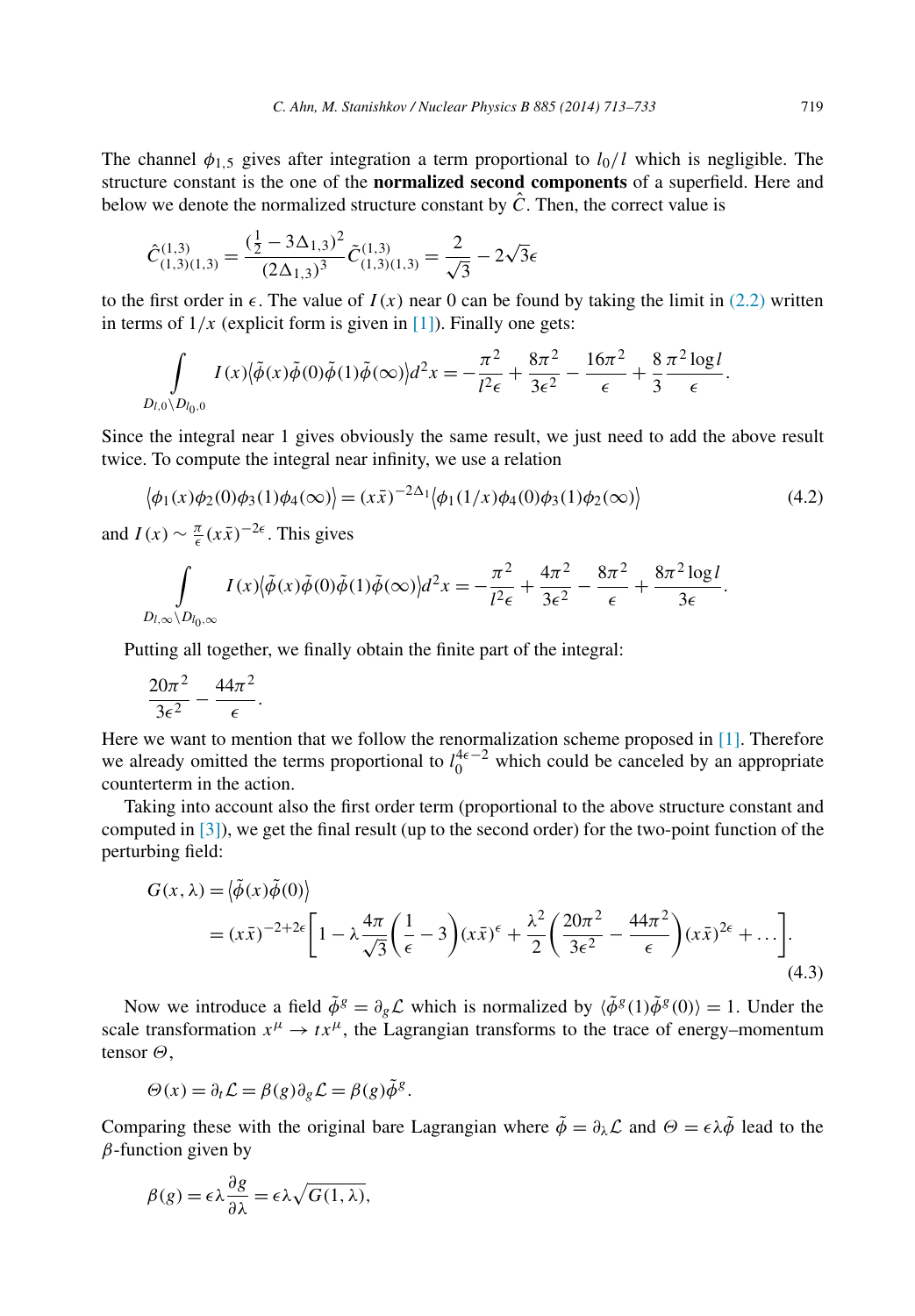<span id="page-6-0"></span>The channel  $\phi_{1.5}$  gives after integration a term proportional to  $l_0/l$  which is negligible. The structure constant is the one of the **normalized second components** of a superfield. Here and below we denote the normalized structure constant by  $\hat{C}$ . Then, the correct value is

$$
\hat{C}_{(1,3)(1,3)}^{(1,3)} = \frac{(\frac{1}{2} - 3\Delta_{1,3})^2}{(2\Delta_{1,3})^3} \tilde{C}_{(1,3)(1,3)}^{(1,3)} = \frac{2}{\sqrt{3}} - 2\sqrt{3}\epsilon
$$

to the first order in  $\epsilon$ . The value of  $I(x)$  near 0 can be found by taking the limit in [\(2.2\)](#page-2-0) written in terms of  $1/x$  (explicit form is given in [\[1\]\)](#page-20-0). Finally one gets:

$$
\int_{D_{l,0}\setminus D_{l_0,0}} I(x)\langle \tilde{\phi}(x)\tilde{\phi}(0)\tilde{\phi}(1)\tilde{\phi}(\infty)\rangle d^2x = -\frac{\pi^2}{l^2\epsilon} + \frac{8\pi^2}{3\epsilon^2} - \frac{16\pi^2}{\epsilon} + \frac{8}{3}\frac{\pi^2 \log l}{\epsilon}.
$$

Since the integral near 1 gives obviously the same result, we just need to add the above result twice. To compute the integral near infinity, we use a relation

$$
\langle \phi_1(x)\phi_2(0)\phi_3(1)\phi_4(\infty) \rangle = (x\bar{x})^{-2\Delta_1} \langle \phi_1(1/x)\phi_4(0)\phi_3(1)\phi_2(\infty) \rangle
$$
 (4.2)

and  $I(x) \sim \frac{\pi}{\epsilon} (x\bar{x})^{-2\epsilon}$ . This gives

$$
\int_{D_{l,\infty}\setminus D_{l_0,\infty}} I(x)\langle \tilde{\phi}(x)\tilde{\phi}(0)\tilde{\phi}(1)\tilde{\phi}(\infty)\rangle d^2x = -\frac{\pi^2}{l^2\epsilon} + \frac{4\pi^2}{3\epsilon^2} - \frac{8\pi^2}{\epsilon} + \frac{8\pi^2\log l}{3\epsilon}.
$$

Putting all together, we finally obtain the finite part of the integral:

$$
\frac{20\pi^2}{3\epsilon^2} - \frac{44\pi^2}{\epsilon}.
$$

Here we want to mention that we follow the renormalization scheme proposed in [\[1\].](#page-20-0) Therefore we already omitted the terms proportional to  $l_0^{4\epsilon-2}$  which could be canceled by an appropriate counterterm in the action.

Taking into account also the first order term (proportional to the above structure constant and computed in [\[3\]\)](#page-20-0), we get the final result (up to the second order) for the two-point function of the perturbing field:

$$
G(x,\lambda) = \langle \tilde{\phi}(x)\tilde{\phi}(0) \rangle
$$
  
=  $(x\bar{x})^{-2+2\epsilon} \left[ 1 - \lambda \frac{4\pi}{\sqrt{3}} \left( \frac{1}{\epsilon} - 3 \right) (x\bar{x})^{\epsilon} + \frac{\lambda^2}{2} \left( \frac{20\pi^2}{3\epsilon^2} - \frac{44\pi^2}{\epsilon} \right) (x\bar{x})^{2\epsilon} + \dots \right].$  (4.3)

Now we introduce a field  $\tilde{\phi}^g = \partial_g \mathcal{L}$  which is normalized by  $\langle \tilde{\phi}^g(1) \tilde{\phi}^g(0) \rangle = 1$ . Under the scale transformation  $x^{\mu} \to tx^{\mu}$ , the Lagrangian transforms to the trace of energy–momentum tensor *Θ*,

$$
\Theta(x) = \partial_t \mathcal{L} = \beta(g)\partial_g \mathcal{L} = \beta(g)\tilde{\phi}^g.
$$

Comparing these with the original bare Lagrangian where  $\tilde{\phi} = \partial_{\lambda} \mathcal{L}$  and  $\Theta = \epsilon \lambda \tilde{\phi}$  lead to the *β*-function given by

$$
\beta(g) = \epsilon \lambda \frac{\partial g}{\partial \lambda} = \epsilon \lambda \sqrt{G(1, \lambda)},
$$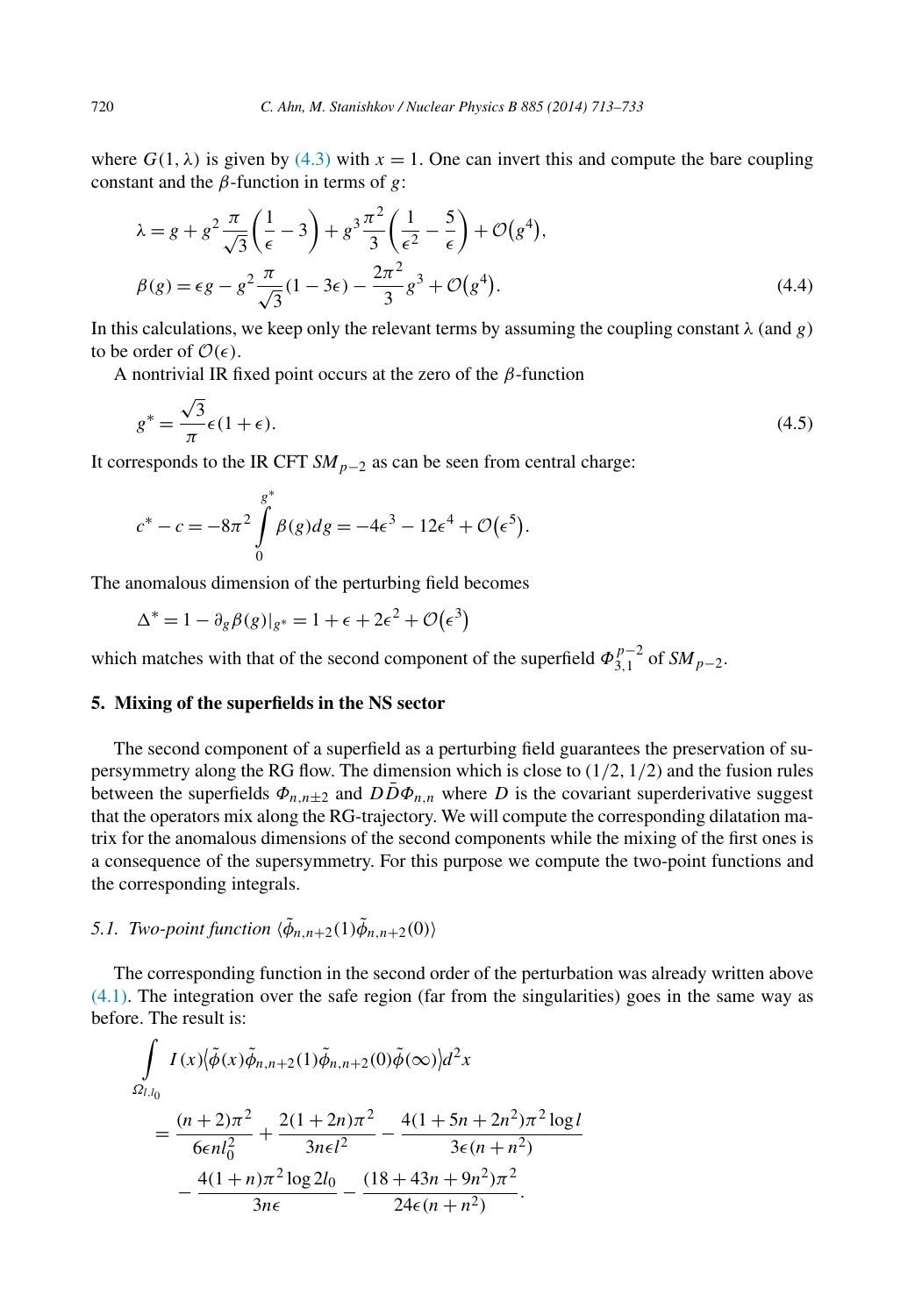<span id="page-7-0"></span>where  $G(1, \lambda)$  is given by [\(4.3\)](#page-6-0) with  $x = 1$ . One can invert this and compute the bare coupling constant and the *β*-function in terms of *g*:

$$
\lambda = g + g^2 \frac{\pi}{\sqrt{3}} \left( \frac{1}{\epsilon} - 3 \right) + g^3 \frac{\pi^2}{3} \left( \frac{1}{\epsilon^2} - \frac{5}{\epsilon} \right) + \mathcal{O}(g^4),
$$
  

$$
\beta(g) = \epsilon g - g^2 \frac{\pi}{\sqrt{3}} (1 - 3\epsilon) - \frac{2\pi^2}{3} g^3 + \mathcal{O}(g^4).
$$
 (4.4)

In this calculations, we keep only the relevant terms by assuming the coupling constant  $\lambda$  (and *g*) to be order of  $\mathcal{O}(\epsilon)$ .

A nontrivial IR fixed point occurs at the zero of the *β*-function

$$
g^* = \frac{\sqrt{3}}{\pi} \epsilon (1 + \epsilon). \tag{4.5}
$$

It corresponds to the IR CFT *SMp*−<sup>2</sup> as can be seen from central charge:

$$
c^* - c = -8\pi^2 \int_{0}^{g^*} \beta(g) dg = -4\epsilon^3 - 12\epsilon^4 + \mathcal{O}(\epsilon^5).
$$

The anomalous dimension of the perturbing field becomes

 $\Delta^* = 1 - \partial_g \beta(g)|_{g^*} = 1 + \epsilon + 2\epsilon^2 + \mathcal{O}(\epsilon^3)$ 

which matches with that of the second component of the superfield  $\Phi_{3,1}^{p-2}$  of  $SM_{p-2}$ .

# **5. Mixing of the superfields in the NS sector**

The second component of a superfield as a perturbing field guarantees the preservation of supersymmetry along the RG flow. The dimension which is close to (1*/*2*,* 1*/*2) and the fusion rules between the superfields  $\Phi_{n,n+2}$  and  $D\bar{D}\Phi_{n,n}$  where *D* is the covariant superderivative suggest that the operators mix along the RG-trajectory. We will compute the corresponding dilatation matrix for the anomalous dimensions of the second components while the mixing of the first ones is a consequence of the supersymmetry. For this purpose we compute the two-point functions and the corresponding integrals.

# 5.1. *Two-point function*  $\langle \tilde{\phi}_{n,n+2}(1)\tilde{\phi}_{n,n+2}(0) \rangle$

The corresponding function in the second order of the perturbation was already written above [\(4.1\).](#page-5-0) The integration over the safe region (far from the singularities) goes in the same way as before. The result is:

$$
\int_{\Omega_{l,l_0}} I(x) \langle \tilde{\phi}(x) \tilde{\phi}_{n,n+2}(1) \tilde{\phi}_{n,n+2}(0) \tilde{\phi}(\infty) \rangle d^2 x
$$
  
= 
$$
\frac{(n+2)\pi^2}{6\epsilon n l_0^2} + \frac{2(1+2n)\pi^2}{3n\epsilon l^2} - \frac{4(1+5n+2n^2)\pi^2 \log l}{3\epsilon (n+n^2)}
$$
  
- 
$$
\frac{4(1+n)\pi^2 \log 2l_0}{3n\epsilon} - \frac{(18+43n+9n^2)\pi^2}{24\epsilon (n+n^2)}.
$$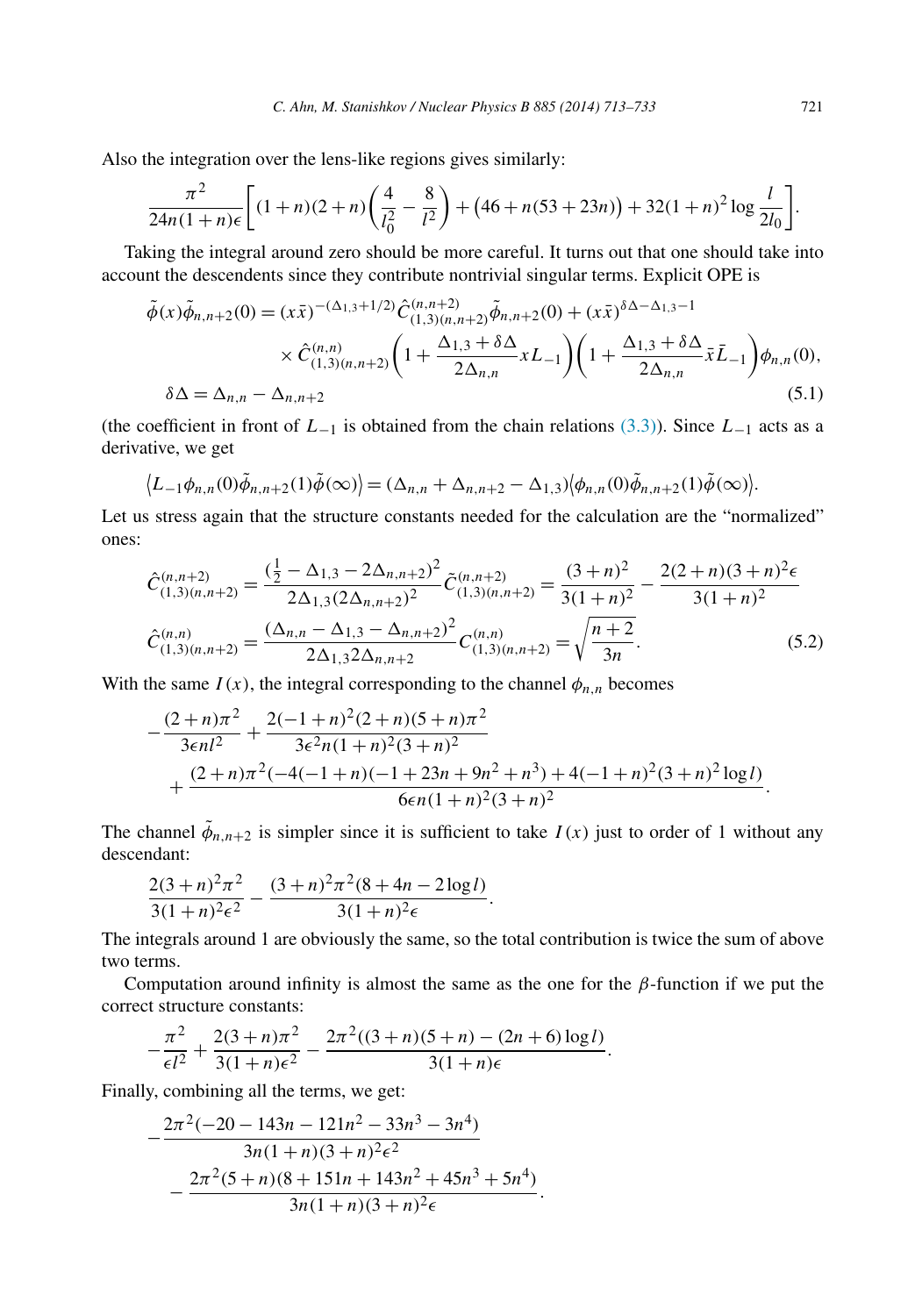<span id="page-8-0"></span>Also the integration over the lens-like regions gives similarly:

$$
\frac{\pi^2}{24n(1+n)\epsilon} \bigg[ (1+n)(2+n) \bigg( \frac{4}{l_0^2} - \frac{8}{l^2} \bigg) + (46+n(53+23n)) + 32(1+n)^2 \log \frac{l}{2l_0} \bigg].
$$

Taking the integral around zero should be more careful. It turns out that one should take into account the descendents since they contribute nontrivial singular terms. Explicit OPE is

$$
\tilde{\phi}(x)\tilde{\phi}_{n,n+2}(0) = (x\bar{x})^{-(\Delta_{1,3}+1/2)}\hat{C}_{(1,3)(n,n+2)}^{(n,n+2)}\tilde{\phi}_{n,n+2}(0) + (x\bar{x})^{\delta\Delta-\Delta_{1,3}-1} \times \hat{C}_{(1,3)(n,n+2)}^{(n,n)}\left(1+\frac{\Delta_{1,3}+\delta\Delta}{2\Delta_{n,n}}xL_{-1}\right)\left(1+\frac{\Delta_{1,3}+\delta\Delta}{2\Delta_{n,n}}\bar{x}\bar{L}_{-1}\right)\phi_{n,n}(0),
$$
\n
$$
\delta\Delta = \Delta_{n,n} - \Delta_{n,n+2} \tag{5.1}
$$

(the coefficient in front of *L*−<sup>1</sup> is obtained from the chain relations [\(3.3\)\)](#page-4-0). Since *L*−<sup>1</sup> acts as a derivative, we get

$$
\langle L_{-1}\phi_{n,n}(0)\tilde{\phi}_{n,n+2}(1)\tilde{\phi}(\infty)\rangle = (\Delta_{n,n} + \Delta_{n,n+2} - \Delta_{1,3})\langle\phi_{n,n}(0)\tilde{\phi}_{n,n+2}(1)\tilde{\phi}(\infty)\rangle.
$$

Let us stress again that the structure constants needed for the calculation are the "normalized" ones:

$$
\hat{C}_{(1,3)(n,n+2)}^{(n,n+2)} = \frac{\left(\frac{1}{2} - \Delta_{1,3} - 2\Delta_{n,n+2}\right)^2}{2\Delta_{1,3}(2\Delta_{n,n+2})^2} \tilde{C}_{(1,3)(n,n+2)}^{(n,n+2)} = \frac{(3+n)^2}{3(1+n)^2} - \frac{2(2+n)(3+n)^2\epsilon}{3(1+n)^2}
$$
\n
$$
\hat{C}_{(1,3)(n,n+2)}^{(n,n)} = \frac{(\Delta_{n,n} - \Delta_{1,3} - \Delta_{n,n+2})^2}{2\Delta_{1,3}2\Delta_{n,n+2}} C_{(1,3)(n,n+2)}^{(n,n)} = \sqrt{\frac{n+2}{3n}}.
$$
\n(5.2)

With the same  $I(x)$ , the integral corresponding to the channel  $\phi_{n,n}$  becomes

$$
-\frac{(2+n)\pi^2}{3\epsilon n l^2} + \frac{2(-1+n)^2(2+n)(5+n)\pi^2}{3\epsilon^2 n(1+n)^2(3+n)^2} + \frac{(2+n)\pi^2(-4(-1+n)(-1+23n+9n^2+n^3)+4(-1+n)^2(3+n)^2\log l)}{6\epsilon n(1+n)^2(3+n)^2}.
$$

The channel  $\tilde{\phi}_{n,n+2}$  is simpler since it is sufficient to take  $I(x)$  just to order of 1 without any descendant:

$$
\frac{2(3+n)^2\pi^2}{3(1+n)^2\epsilon^2} - \frac{(3+n)^2\pi^2(8+4n-2\log l)}{3(1+n)^2\epsilon}.
$$

The integrals around 1 are obviously the same, so the total contribution is twice the sum of above two terms.

Computation around infinity is almost the same as the one for the *β*-function if we put the correct structure constants:

$$
-\frac{\pi^2}{\epsilon l^2} + \frac{2(3+n)\pi^2}{3(1+n)\epsilon^2} - \frac{2\pi^2((3+n)(5+n)-(2n+6)\log l)}{3(1+n)\epsilon}.
$$

Finally, combining all the terms, we get:

$$
-\frac{2\pi^2(-20-143n-121n^2-33n^3-3n^4)}{3n(1+n)(3+n)^2\epsilon^2}
$$

$$
-\frac{2\pi^2(5+n)(8+151n+143n^2+45n^3+5n^4)}{3n(1+n)(3+n)^2\epsilon}
$$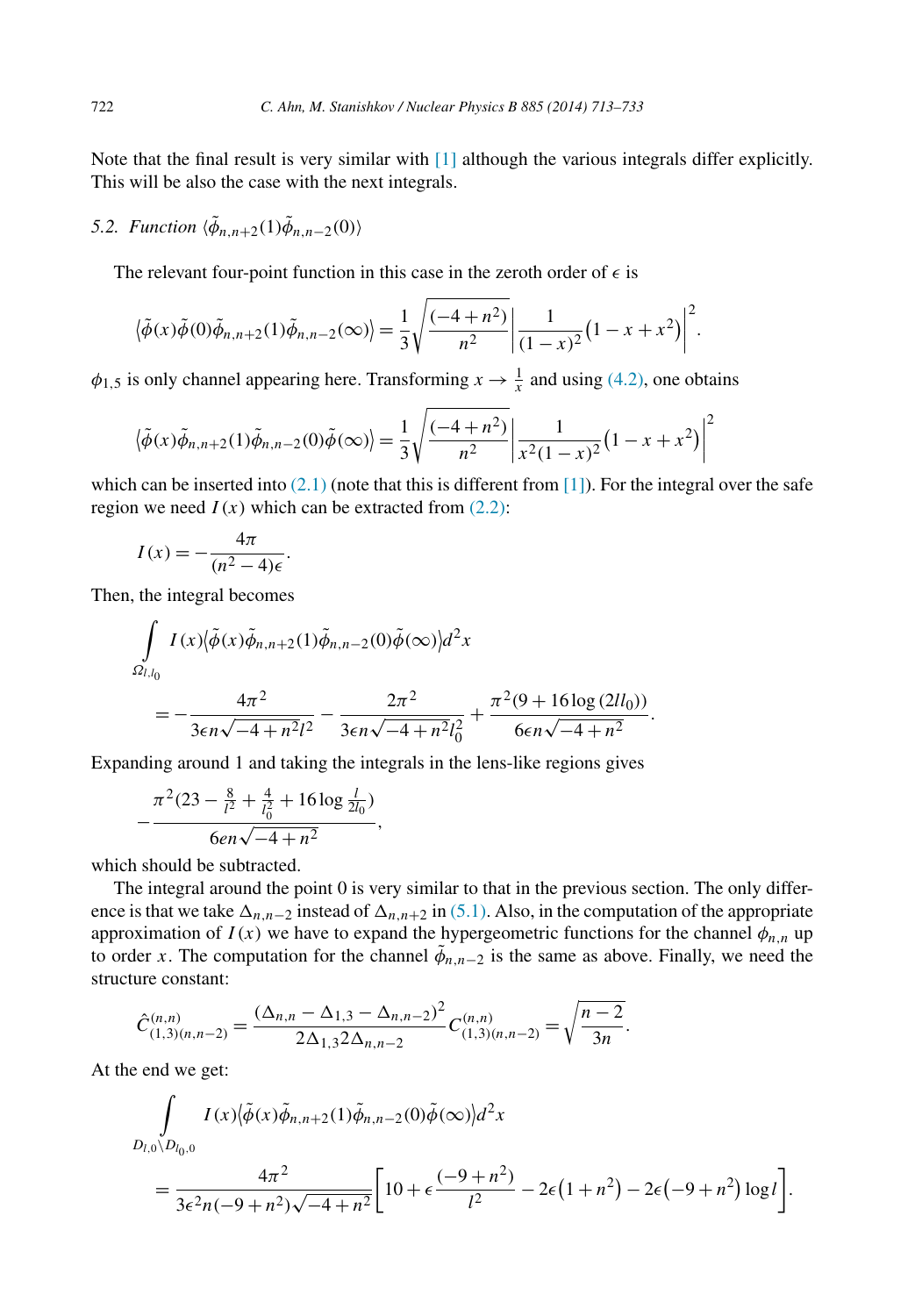Note that the final result is very similar with [\[1\]](#page-20-0) although the various integrals differ explicitly. This will be also the case with the next integrals.

5.2. Function 
$$
\langle \tilde{\phi}_{n,n+2}(1)\tilde{\phi}_{n,n-2}(0)\rangle
$$

The relevant four-point function in this case in the zeroth order of  $\epsilon$  is

$$
\langle \tilde{\phi}(x)\tilde{\phi}(0)\tilde{\phi}_{n,n+2}(1)\tilde{\phi}_{n,n-2}(\infty)\rangle = \frac{1}{3}\sqrt{\frac{(-4+n^2)}{n^2}\left|\frac{1}{(1-x)^2}\left(1-x+x^2\right)\right|^2}.
$$

 $\phi_{1,5}$  is only channel appearing here. Transforming  $x \to \frac{1}{x}$  and using [\(4.2\),](#page-6-0) one obtains

$$
\left\langle \tilde{\phi}(x)\tilde{\phi}_{n,n+2}(1)\tilde{\phi}_{n,n-2}(0)\tilde{\phi}(\infty) \right\rangle = \frac{1}{3} \sqrt{\frac{(-4+n^2)}{n^2} \left| \frac{1}{x^2(1-x)^2} \left(1-x+x^2\right) \right|^2}
$$

which can be inserted into  $(2.1)$  (note that this is different from [\[1\]\)](#page-20-0). For the integral over the safe region we need  $I(x)$  which can be extracted from  $(2.2)$ :

$$
I(x) = -\frac{4\pi}{(n^2 - 4)\epsilon}.
$$

Then, the integral becomes

$$
\int_{\Omega_{l,l_0}} I(x) \langle \tilde{\phi}(x) \tilde{\phi}_{n,n+2}(1) \tilde{\phi}_{n,n-2}(0) \tilde{\phi}(\infty) \rangle d^2 x
$$
  
= 
$$
-\frac{4\pi^2}{3\epsilon n \sqrt{-4 + n^2 l^2}} - \frac{2\pi^2}{3\epsilon n \sqrt{-4 + n^2 l_0^2}} + \frac{\pi^2 (9 + 16 \log (2l l_0))}{6\epsilon n \sqrt{-4 + n^2}}.
$$

Expanding around 1 and taking the integrals in the lens-like regions gives

$$
-\frac{\pi^2(23-\frac{8}{l^2}+\frac{4}{l_0^2}+16\log\frac{l}{2l_0})}{6en\sqrt{-4+n^2}},
$$

which should be subtracted.

The integral around the point 0 is very similar to that in the previous section. The only difference is that we take  $\Delta_{n,n-2}$  instead of  $\Delta_{n,n+2}$  in [\(5.1\).](#page-8-0) Also, in the computation of the appropriate approximation of  $I(x)$  we have to expand the hypergeometric functions for the channel  $\phi_{n,n}$  up to order *x*. The computation for the channel  $\tilde{\phi}_{n,n-2}$  is the same as above. Finally, we need the structure constant:

$$
\hat{C}_{(1,3)(n,n-2)}^{(n,n)} = \frac{(\Delta_{n,n} - \Delta_{1,3} - \Delta_{n,n-2})^2}{2\Delta_{1,3}2\Delta_{n,n-2}} C_{(1,3)(n,n-2)}^{(n,n)} = \sqrt{\frac{n-2}{3n}}.
$$

At the end we get:

$$
\int_{D_{l,0}\setminus D_{l_0,0}} I(x) \langle \tilde{\phi}(x)\tilde{\phi}_{n,n+2}(1)\tilde{\phi}_{n,n-2}(0)\tilde{\phi}(\infty) \rangle d^2x
$$
  
= 
$$
\frac{4\pi^2}{3\epsilon^2 n(-9+n^2)\sqrt{-4+n^2}} \Bigg[ 10 + \epsilon \frac{(-9+n^2)}{l^2} - 2\epsilon (1+n^2) - 2\epsilon (-9+n^2) \log l \Bigg].
$$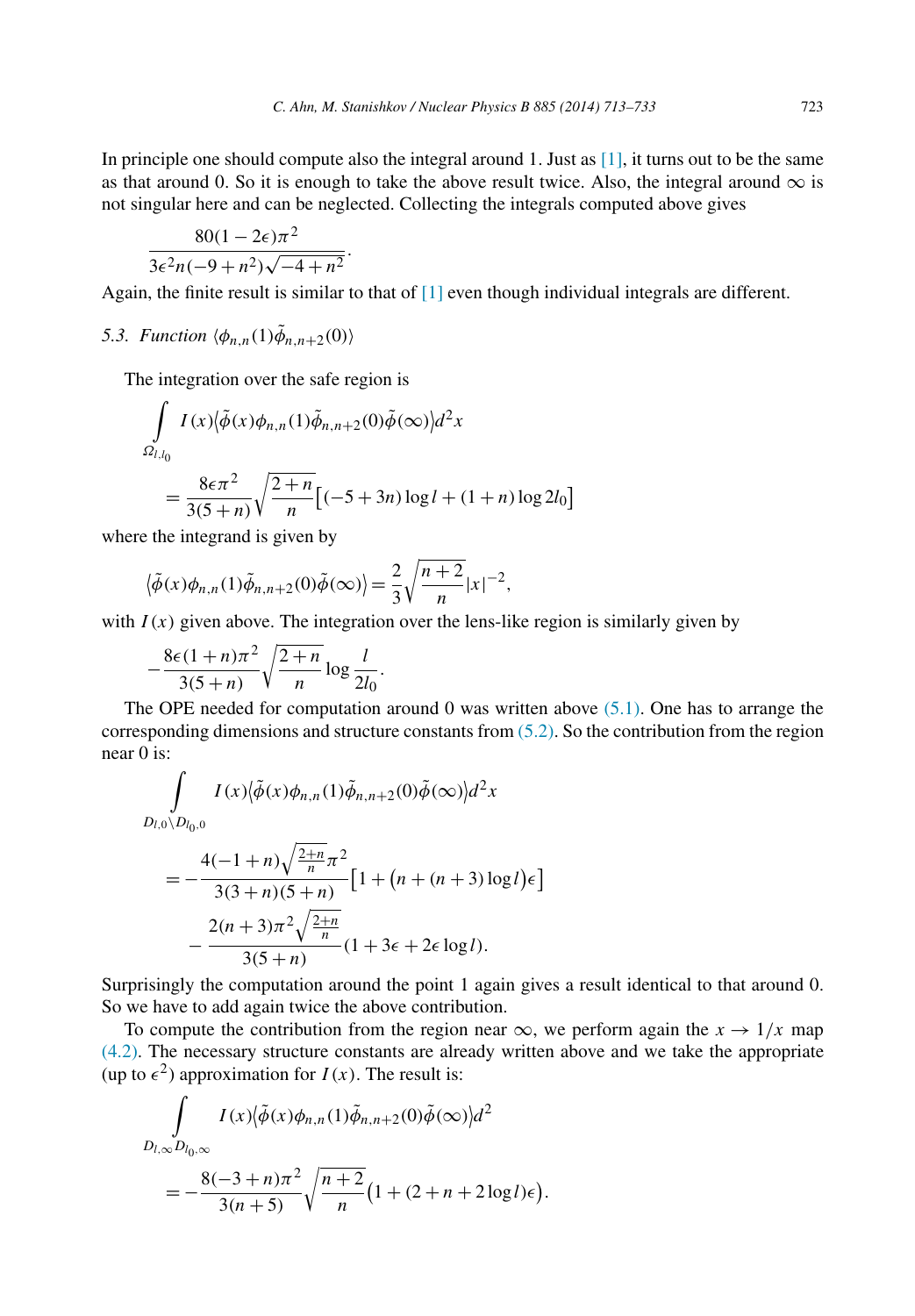In principle one should compute also the integral around 1. Just as  $[1]$ , it turns out to be the same as that around 0. So it is enough to take the above result twice. Also, the integral around  $\infty$  is not singular here and can be neglected. Collecting the integrals computed above gives

$$
\frac{80(1-2\epsilon)\pi^2}{3\epsilon^2n(-9+n^2)\sqrt{-4+n^2}}.
$$

Again, the finite result is similar to that of [\[1\]](#page-20-0) even though individual integrals are different.

5.3. *Function*  $\langle \phi_{n,n}(1)\tilde{\phi}_{n,n+2}(0)\rangle$ 

The integration over the safe region is

$$
\int_{\Omega_{l,l_0}} I(x) \langle \tilde{\phi}(x)\phi_{n,n}(1)\tilde{\phi}_{n,n+2}(0)\tilde{\phi}(\infty)\rangle d^2x
$$
  
= 
$$
\frac{8\epsilon\pi^2}{3(5+n)}\sqrt{\frac{2+n}{n}}[(-5+3n)\log l + (1+n)\log 2l_0]
$$

where the integrand is given by

$$
\left\langle \tilde{\phi}(x)\phi_{n,n}(1)\tilde{\phi}_{n,n+2}(0)\tilde{\phi}(\infty)\right\rangle = \frac{2}{3}\sqrt{\frac{n+2}{n}}|x|^{-2},
$$

with  $I(x)$  given above. The integration over the lens-like region is similarly given by

$$
-\frac{8\epsilon(1+n)\pi^2}{3(5+n)}\sqrt{\frac{2+n}{n}}\log\frac{l}{2l_0}.
$$

The OPE needed for computation around 0 was written above  $(5.1)$ . One has to arrange the corresponding dimensions and structure constants from  $(5.2)$ . So the contribution from the region near 0 is:

$$
\int_{D_{l,0}\setminus D_{l_0,0}} I(x)\langle \tilde{\phi}(x)\phi_{n,n}(1)\tilde{\phi}_{n,n+2}(0)\tilde{\phi}(\infty)\rangle d^2x
$$
  
= 
$$
-\frac{4(-1+n)\sqrt{\frac{2+n}{n}}\pi^2}{3(3+n)(5+n)}\Big[1+(n+(n+3)\log l)\epsilon\Big]
$$
  

$$
-\frac{2(n+3)\pi^2\sqrt{\frac{2+n}{n}}}{3(5+n)}(1+3\epsilon+2\epsilon\log l).
$$

Surprisingly the computation around the point 1 again gives a result identical to that around 0. So we have to add again twice the above contribution.

To compute the contribution from the region near  $\infty$ , we perform again the  $x \to 1/x$  map [\(4.2\).](#page-6-0) The necessary structure constants are already written above and we take the appropriate (up to  $\epsilon^2$ ) approximation for *I(x)*. The result is:

$$
\int_{D_{l,\infty}D_{l_0,\infty}} I(x)\langle \tilde{\phi}(x)\phi_{n,n}(1)\tilde{\phi}_{n,n+2}(0)\tilde{\phi}(\infty)\rangle d^2
$$
  
= 
$$
-\frac{8(-3+n)\pi^2}{3(n+5)}\sqrt{\frac{n+2}{n}}\left(1+(2+n+2\log l)\epsilon\right).
$$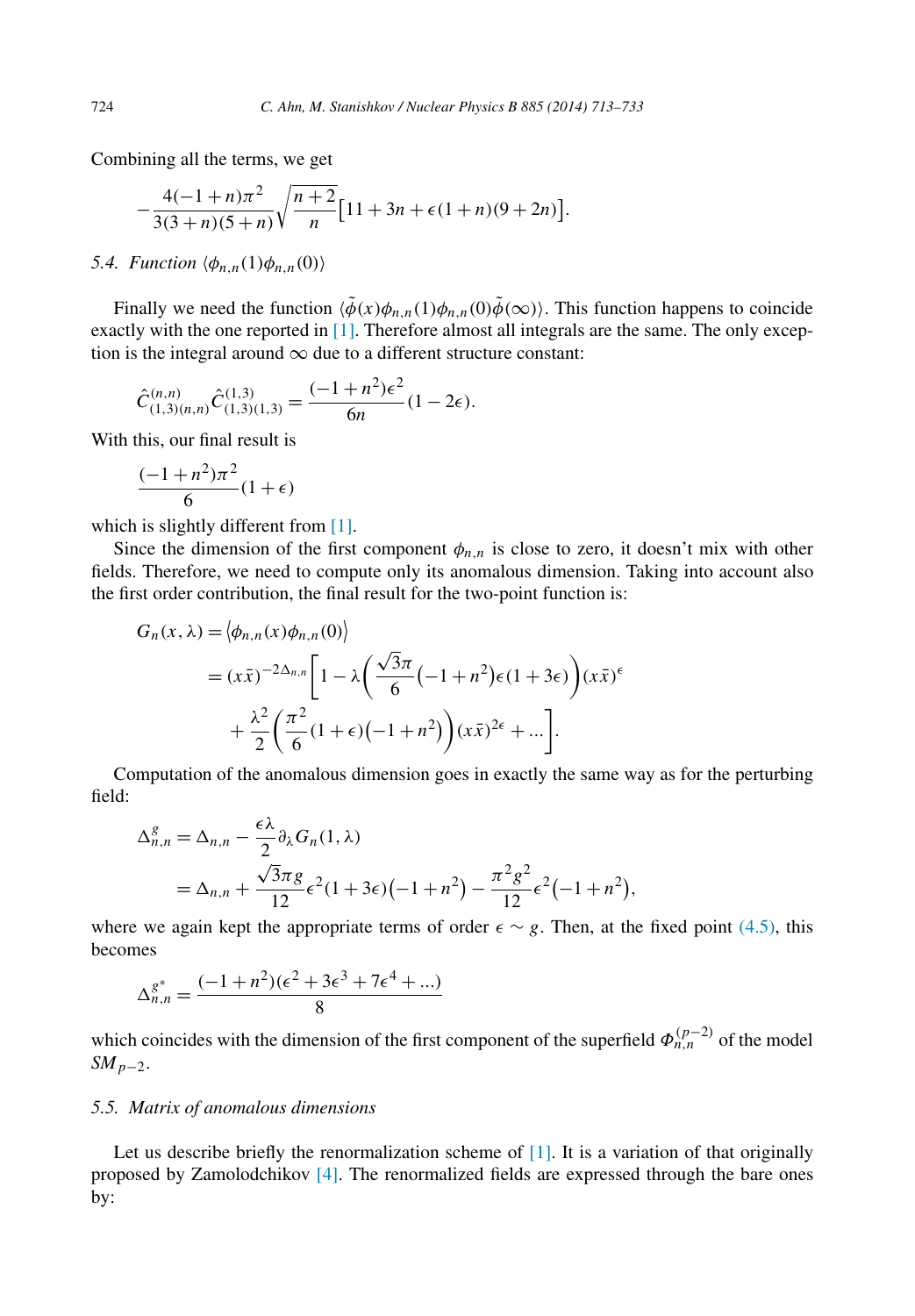Combining all the terms, we get

$$
-\frac{4(-1+n)\pi^2}{3(3+n)(5+n)}\sqrt{\frac{n+2}{n}}\Big[11+3n+\epsilon(1+n)(9+2n)\Big].
$$

# *5.4. Function*  $\langle \phi_{n,n}(1) \phi_{n,n}(0) \rangle$

Finally we need the function  $\langle \tilde{\phi}(x) \phi_{n,n}(1) \phi_{n,n}(0) \tilde{\phi}(\infty) \rangle$ . This function happens to coincide exactly with the one reported in [\[1\].](#page-20-0) Therefore almost all integrals are the same. The only exception is the integral around  $\infty$  due to a different structure constant:

$$
\hat{C}_{(1,3)(n,n)}^{(n,n)} \hat{C}_{(1,3)(1,3)}^{(1,3)} = \frac{(-1+n^2)\epsilon^2}{6n} (1-2\epsilon).
$$

With this, our final result is

$$
\frac{(-1+n^2)\pi^2}{6}(1+\epsilon)
$$

which is slightly different from [\[1\].](#page-20-0)

Since the dimension of the first component  $\phi_{n,n}$  is close to zero, it doesn't mix with other fields. Therefore, we need to compute only its anomalous dimension. Taking into account also the first order contribution, the final result for the two-point function is:

$$
G_n(x, \lambda) = \langle \phi_{n,n}(x) \phi_{n,n}(0) \rangle
$$
  
=  $(x\bar{x})^{-2\Delta_{n,n}} \left[ 1 - \lambda \left( \frac{\sqrt{3}\pi}{6} (-1 + n^2) \epsilon (1 + 3\epsilon) \right) (x\bar{x})^{\epsilon} + \frac{\lambda^2}{2} \left( \frac{\pi^2}{6} (1 + \epsilon) (-1 + n^2) \right) (x\bar{x})^{2\epsilon} + ... \right].$ 

Computation of the anomalous dimension goes in exactly the same way as for the perturbing field:

$$
\Delta_{n,n}^g = \Delta_{n,n} - \frac{\epsilon \lambda}{2} \partial_{\lambda} G_n(1,\lambda)
$$
  
=  $\Delta_{n,n} + \frac{\sqrt{3} \pi g}{12} \epsilon^2 (1+3\epsilon)(-1+n^2) - \frac{\pi^2 g^2}{12} \epsilon^2 (-1+n^2),$ 

where we again kept the appropriate terms of order  $\epsilon \sim g$ . Then, at the fixed point [\(4.5\),](#page-7-0) this becomes

$$
\Delta_{n,n}^{g^*} = \frac{(-1+n^2)(\epsilon^2 + 3\epsilon^3 + 7\epsilon^4 + ...)}{8}
$$

which coincides with the dimension of the first component of the superfield  $\Phi_{n,n}^{(p-2)}$  of the model *SMp*<sup>−</sup>2.

## *5.5. Matrix of anomalous dimensions*

Let us describe briefly the renormalization scheme of  $[1]$ . It is a variation of that originally proposed by Zamolodchikov [\[4\].](#page-20-0) The renormalized fields are expressed through the bare ones by: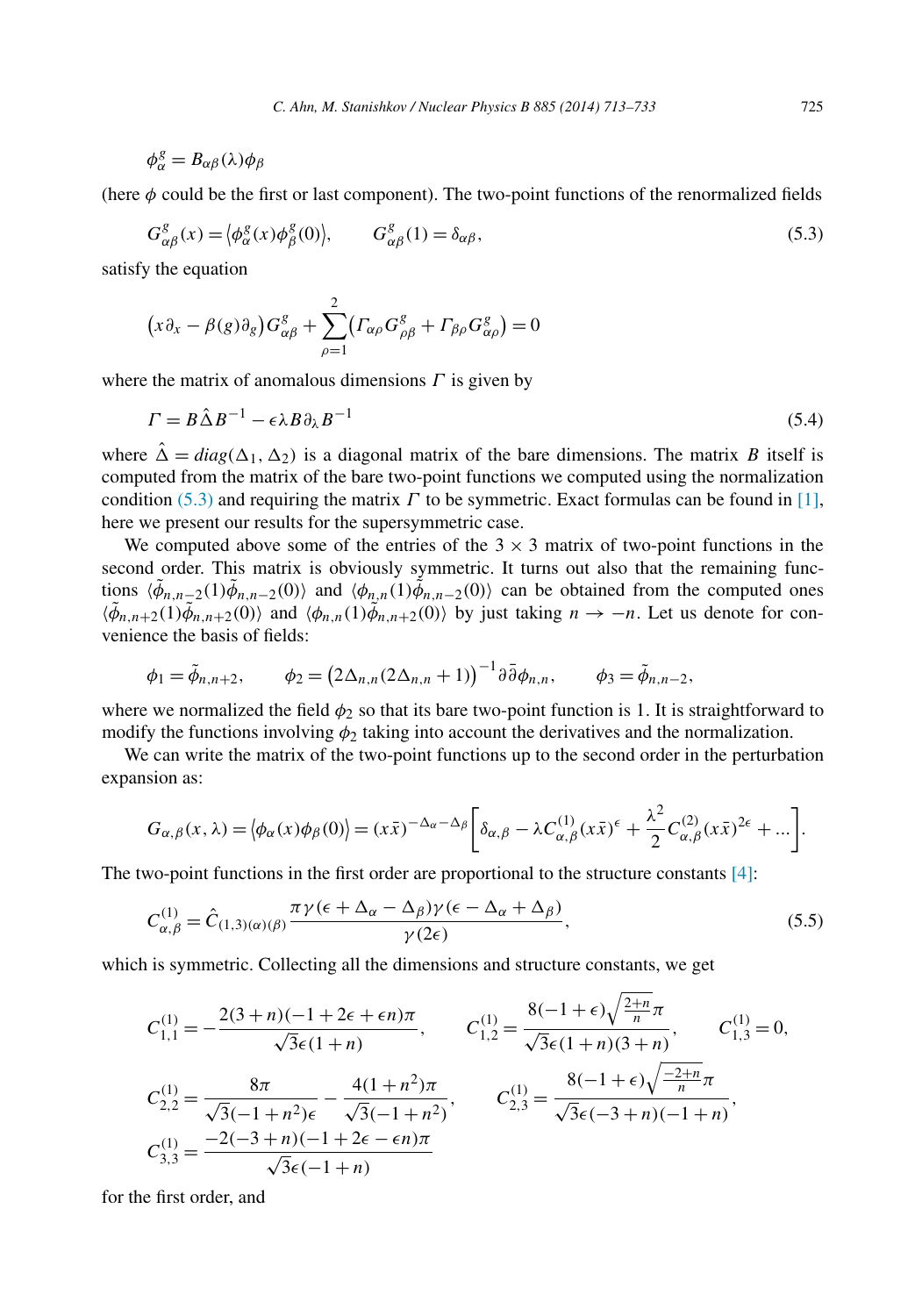<span id="page-12-0"></span>
$$
\phi_\alpha^g=B_{\alpha\beta}(\lambda)\phi_\beta
$$

(here *φ* could be the first or last component). The two-point functions of the renormalized fields

$$
G_{\alpha\beta}^{g}(x) = \langle \phi_{\alpha}^{g}(x)\phi_{\beta}^{g}(0) \rangle, \qquad G_{\alpha\beta}^{g}(1) = \delta_{\alpha\beta}, \qquad (5.3)
$$

satisfy the equation

$$
(x\partial_x - \beta(g)\partial_g)G^g_{\alpha\beta} + \sum_{\rho=1}^2 (T_{\alpha\rho}G^g_{\rho\beta} + T_{\beta\rho}G^g_{\alpha\rho}) = 0
$$

where the matrix of anomalous dimensions *Γ* is given by

$$
\Gamma = B\hat{\Delta}B^{-1} - \epsilon\lambda B\partial_{\lambda}B^{-1} \tag{5.4}
$$

where  $\hat{\Delta} = diag(\Delta_1, \Delta_2)$  is a diagonal matrix of the bare dimensions. The matrix *B* itself is computed from the matrix of the bare two-point functions we computed using the normalization condition (5.3) and requiring the matrix  $\Gamma$  to be symmetric. Exact formulas can be found in [\[1\],](#page-20-0) here we present our results for the supersymmetric case.

We computed above some of the entries of the  $3 \times 3$  matrix of two-point functions in the second order. This matrix is obviously symmetric. It turns out also that the remaining functions  $\langle \phi_{n,n-2}(1) \phi_{n,n-2}(0) \rangle$  and  $\langle \phi_{n,n}(1) \phi_{n,n-2}(0) \rangle$  can be obtained from the computed ones  $\langle \phi_{n,n+2}(1)\phi_{n,n+2}(0)\rangle$  and  $\langle \phi_{n,n}(1)\phi_{n,n+2}(0)\rangle$  by just taking  $n \to -n$ . Let us denote for convenience the basis of fields:

$$
\phi_1 = \tilde{\phi}_{n,n+2}, \qquad \phi_2 = \left(2\Delta_{n,n}(2\Delta_{n,n}+1)\right)^{-1} \partial \bar{\partial} \phi_{n,n}, \qquad \phi_3 = \tilde{\phi}_{n,n-2},
$$

where we normalized the field  $\phi_2$  so that its bare two-point function is 1. It is straightforward to modify the functions involving  $\phi_2$  taking into account the derivatives and the normalization.

We can write the matrix of the two-point functions up to the second order in the perturbation expansion as:

$$
G_{\alpha,\beta}(x,\lambda) = \langle \phi_{\alpha}(x)\phi_{\beta}(0) \rangle = (x\bar{x})^{-\Delta_{\alpha}-\Delta_{\beta}} \bigg[ \delta_{\alpha,\beta} - \lambda C_{\alpha,\beta}^{(1)}(x\bar{x})^{\epsilon} + \frac{\lambda^2}{2} C_{\alpha,\beta}^{(2)}(x\bar{x})^{2\epsilon} + \dots \bigg].
$$

The two-point functions in the first order are proportional to the structure constants  $[4]$ :

$$
C_{\alpha,\beta}^{(1)} = \hat{C}_{(1,3)(\alpha)(\beta)} \frac{\pi \gamma (\epsilon + \Delta_{\alpha} - \Delta_{\beta}) \gamma (\epsilon - \Delta_{\alpha} + \Delta_{\beta})}{\gamma (2\epsilon)},
$$
\n(5.5)

which is symmetric. Collecting all the dimensions and structure constants, we get

$$
C_{1,1}^{(1)} = -\frac{2(3+n)(-1+2\epsilon+\epsilon n)\pi}{\sqrt{3}\epsilon(1+n)}, \qquad C_{1,2}^{(1)} = \frac{8(-1+\epsilon)\sqrt{\frac{2+n}{n}\pi}}{\sqrt{3}\epsilon(1+n)(3+n)}, \qquad C_{1,3}^{(1)} = 0,
$$
  

$$
C_{2,2}^{(1)} = \frac{8\pi}{\sqrt{3}(-1+n^2)\epsilon} - \frac{4(1+n^2)\pi}{\sqrt{3}(-1+n^2)}, \qquad C_{2,3}^{(1)} = \frac{8(-1+\epsilon)\sqrt{\frac{-2+n}{n}\pi}}{\sqrt{3}\epsilon(-3+n)(-1+n)},
$$
  

$$
C_{3,3}^{(1)} = \frac{-2(-3+n)(-1+2\epsilon-\epsilon n)\pi}{\sqrt{3}\epsilon(-1+n)}
$$

for the first order, and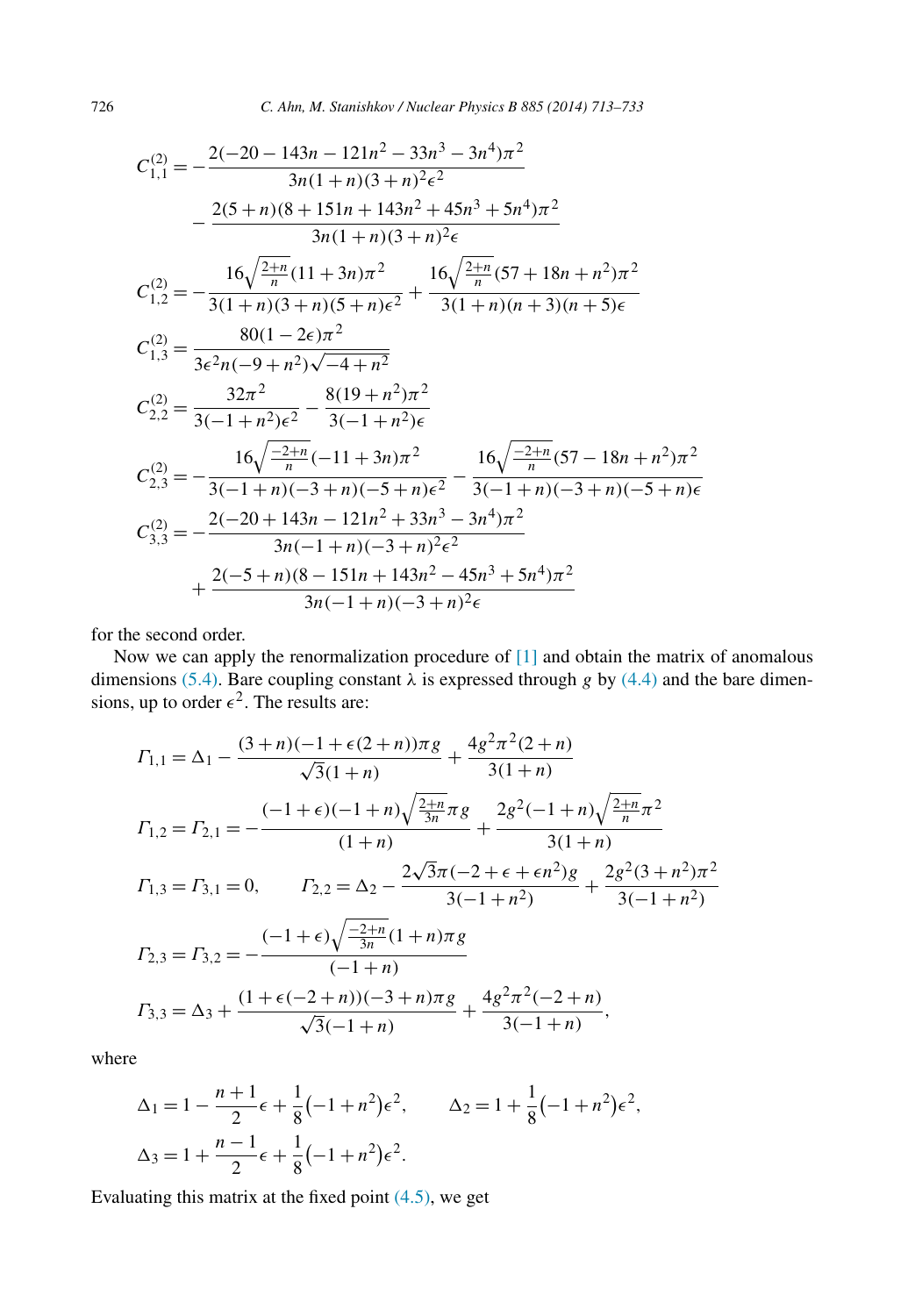$$
C_{1,1}^{(2)} = -\frac{2(-20 - 143n - 121n^2 - 33n^3 - 3n^4)\pi^2}{3n(1 + n)(3 + n)^2\epsilon^2}
$$
  
\n
$$
-\frac{2(5 + n)(8 + 151n + 143n^2 + 45n^3 + 5n^4)\pi^2}{3n(1 + n)(3 + n)^2\epsilon}
$$
  
\n
$$
C_{1,2}^{(2)} = -\frac{16\sqrt{\frac{2+n}{n}}(11 + 3n)\pi^2}{3(1 + n)(3 + n)(5 + n)\epsilon^2} + \frac{16\sqrt{\frac{2+n}{n}}(57 + 18n + n^2)\pi^2}{3(1 + n)(n + 3)(n + 5)\epsilon}
$$
  
\n
$$
C_{1,3}^{(2)} = \frac{80(1 - 2\epsilon)\pi^2}{3\epsilon^2n(-9 + n^2)\sqrt{-4 + n^2}}
$$
  
\n
$$
C_{2,2}^{(2)} = \frac{32\pi^2}{3(-1 + n^2)\epsilon^2} - \frac{8(19 + n^2)\pi^2}{3(-1 + n^2)\epsilon}
$$
  
\n
$$
C_{2,3}^{(2)} = -\frac{16\sqrt{\frac{-2+n}{n}}(-11 + 3n)\pi^2}{3(-1 + n)(-3 + n)(-5 + n)\epsilon^2} - \frac{16\sqrt{\frac{-2+n}{n}}(57 - 18n + n^2)\pi^2}{3(-1 + n)(-3 + n)(-5 + n)\epsilon}
$$
  
\n
$$
C_{3,3}^{(2)} = -\frac{2(-20 + 143n - 121n^2 + 33n^3 - 3n^4)\pi^2}{3n(-1 + n)(-3 + n)^2\epsilon^2}
$$
  
\n
$$
+ \frac{2(-5 + n)(8 - 151n + 143n^2 - 45n^3 + 5n^4)\pi^2}{3n(-1 + n)(-3 + n)^2\epsilon}
$$

for the second order.

Now we can apply the renormalization procedure of [\[1\]](#page-20-0) and obtain the matrix of anomalous dimensions [\(5.4\).](#page-12-0) Bare coupling constant  $\lambda$  is expressed through *g* by [\(4.4\)](#page-7-0) and the bare dimensions, up to order  $\epsilon^2$ . The results are:

$$
F_{1,1} = \Delta_1 - \frac{(3+n)(-1+\epsilon(2+n))\pi g}{\sqrt{3}(1+n)} + \frac{4g^2\pi^2(2+n)}{3(1+n)}
$$
  
\n
$$
F_{1,2} = F_{2,1} = -\frac{(-1+\epsilon)(-1+n)\sqrt{\frac{2+n}{3n}}\pi g}{(1+n)} + \frac{2g^2(-1+n)\sqrt{\frac{2+n}{n}}\pi^2}{3(1+n)}
$$
  
\n
$$
F_{1,3} = F_{3,1} = 0, \qquad F_{2,2} = \Delta_2 - \frac{2\sqrt{3}\pi(-2+\epsilon+\epsilon n^2)g}{3(-1+n^2)} + \frac{2g^2(3+n^2)\pi^2}{3(-1+n^2)}
$$
  
\n
$$
F_{2,3} = F_{3,2} = -\frac{(-1+\epsilon)\sqrt{\frac{-2+n}{3n}}(1+n)\pi g}{(-1+n)}
$$
  
\n
$$
F_{3,3} = \Delta_3 + \frac{(1+\epsilon(-2+n))(-3+n)\pi g}{\sqrt{3}(-1+n)} + \frac{4g^2\pi^2(-2+n)}{3(-1+n)},
$$

where

$$
\Delta_1 = 1 - \frac{n+1}{2}\epsilon + \frac{1}{8}(-1+n^2)\epsilon^2, \qquad \Delta_2 = 1 + \frac{1}{8}(-1+n^2)\epsilon^2,
$$
  

$$
\Delta_3 = 1 + \frac{n-1}{2}\epsilon + \frac{1}{8}(-1+n^2)\epsilon^2.
$$

Evaluating this matrix at the fixed point [\(4.5\),](#page-7-0) we get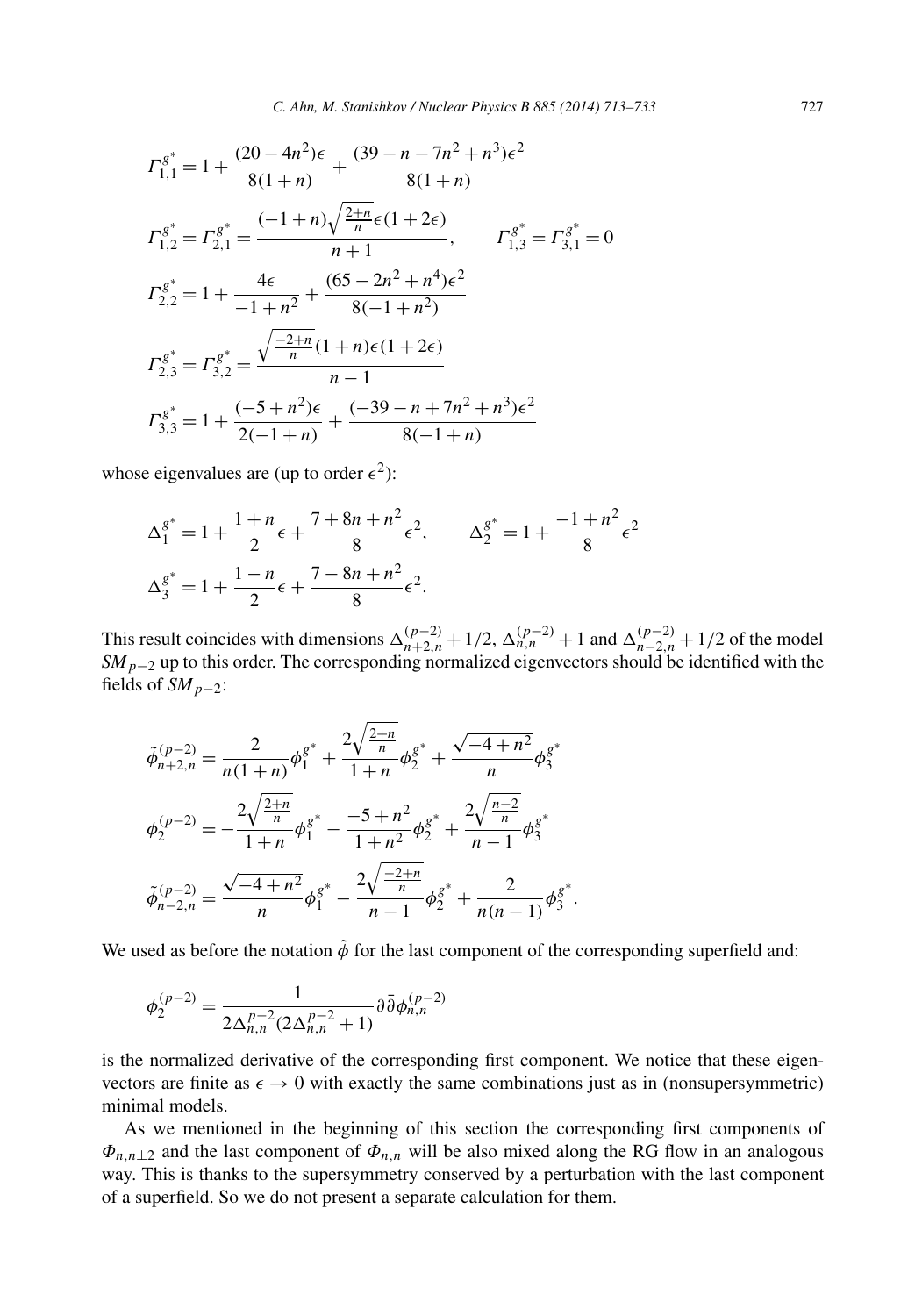$$
r_{1,1}^{g^*} = 1 + \frac{(20 - 4n^2)\epsilon}{8(1+n)} + \frac{(39 - n - 7n^2 + n^3)\epsilon^2}{8(1+n)}
$$
  
\n
$$
r_{1,2}^{g^*} = r_{2,1}^{g^*} = \frac{(-1+n)\sqrt{\frac{2+n}{n}}\epsilon(1+2\epsilon)}{n+1}, \qquad r_{1,3}^{g^*} = r_{3,1}^{g^*} = 0
$$
  
\n
$$
r_{2,2}^{g^*} = 1 + \frac{4\epsilon}{-1+n^2} + \frac{(65 - 2n^2 + n^4)\epsilon^2}{8(-1+n^2)}
$$
  
\n
$$
r_{2,3}^{g^*} = r_{3,2}^{g^*} = \frac{\sqrt{\frac{-2+n}{n}}(1+n)\epsilon(1+2\epsilon)}{n-1}
$$
  
\n
$$
r_{3,3}^{g^*} = 1 + \frac{(-5+n^2)\epsilon}{2(-1+n)} + \frac{(-39 - n + 7n^2 + n^3)\epsilon^2}{8(-1+n)}
$$

whose eigenvalues are (up to order  $\epsilon^2$ ):

$$
\Delta_1^{g^*} = 1 + \frac{1+n}{2}\epsilon + \frac{7+8n+n^2}{8}\epsilon^2, \qquad \Delta_2^{g^*} = 1 + \frac{-1+n^2}{8}\epsilon^2
$$
  

$$
\Delta_3^{g^*} = 1 + \frac{1-n}{2}\epsilon + \frac{7-8n+n^2}{8}\epsilon^2.
$$

This result coincides with dimensions  $\Delta_{n+2,n}^{(p-2)} + 1/2$ ,  $\Delta_{n,n}^{(p-2)} + 1$  and  $\Delta_{n-2,n}^{(p-2)} + 1/2$  of the model *SM*<sub>*p*−2</sub> up to this order. The corresponding normalized eigenvectors should be identified with the fields of  $SM_{p-2}$ :

$$
\tilde{\phi}_{n+2,n}^{(p-2)} = \frac{2}{n(1+n)} \phi_1^{g^*} + \frac{2\sqrt{\frac{2+n}{n}}}{1+n} \phi_2^{g^*} + \frac{\sqrt{-4+n^2}}{n} \phi_3^{g^*}
$$

$$
\phi_2^{(p-2)} = -\frac{2\sqrt{\frac{2+n}{n}}}{1+n} \phi_1^{g^*} - \frac{-5+n^2}{1+n^2} \phi_2^{g^*} + \frac{2\sqrt{\frac{n-2}{n}}}{n-1} \phi_3^{g^*}
$$

$$
\tilde{\phi}_{n-2,n}^{(p-2)} = \frac{\sqrt{-4+n^2}}{n} \phi_1^{g^*} - \frac{2\sqrt{\frac{-2+n}{n}}}{n-1} \phi_2^{g^*} + \frac{2}{n(n-1)} \phi_3^{g^*}.
$$

We used as before the notation  $\tilde{\phi}$  for the last component of the corresponding superfield and:

$$
\phi_2^{(p-2)} = \frac{1}{2\Delta_{n,n}^{p-2}(2\Delta_{n,n}^{p-2}+1)} \partial \bar{\partial} \phi_{n,n}^{(p-2)}
$$

is the normalized derivative of the corresponding first component. We notice that these eigenvectors are finite as  $\epsilon \to 0$  with exactly the same combinations just as in (nonsupersymmetric) minimal models.

As we mentioned in the beginning of this section the corresponding first components of  $\Phi_{n,n+2}$  and the last component of  $\Phi_{n,n}$  will be also mixed along the RG flow in an analogous way. This is thanks to the supersymmetry conserved by a perturbation with the last component of a superfield. So we do not present a separate calculation for them.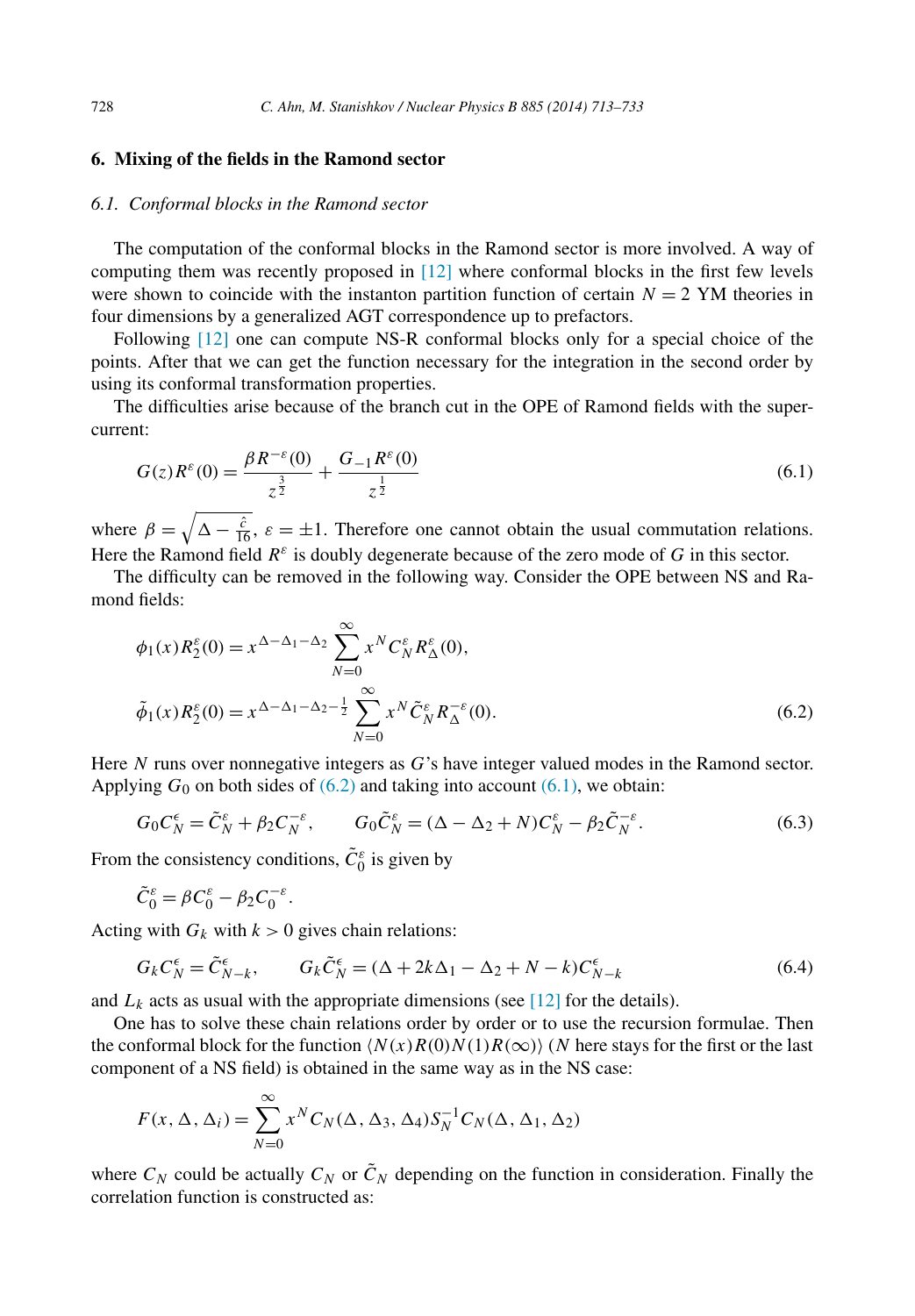### <span id="page-15-0"></span>**6. Mixing of the fields in the Ramond sector**

# *6.1. Conformal blocks in the Ramond sector*

The computation of the conformal blocks in the Ramond sector is more involved. A way of computing them was recently proposed in [\[12\]](#page-20-0) where conformal blocks in the first few levels were shown to coincide with the instanton partition function of certain  $N = 2$  YM theories in four dimensions by a generalized AGT correspondence up to prefactors.

Following [\[12\]](#page-20-0) one can compute NS-R conformal blocks only for a special choice of the points. After that we can get the function necessary for the integration in the second order by using its conformal transformation properties.

The difficulties arise because of the branch cut in the OPE of Ramond fields with the supercurrent:

$$
G(z)R^{\varepsilon}(0) = \frac{\beta R^{-\varepsilon}(0)}{z^{\frac{3}{2}}} + \frac{G_{-1}R^{\varepsilon}(0)}{z^{\frac{1}{2}}}
$$
(6.1)

where  $\beta = \sqrt{\Delta - \frac{\hat{c}}{16}}$ ,  $\varepsilon = \pm 1$ . Therefore one cannot obtain the usual commutation relations. Here the Ramond field  $R^{\varepsilon}$  is doubly degenerate because of the zero mode of *G* in this sector.

The difficulty can be removed in the following way. Consider the OPE between NS and Ramond fields:

$$
\phi_1(x)R_2^{\varepsilon}(0) = x^{\Delta-\Delta_1-\Delta_2} \sum_{N=0}^{\infty} x^N C_N^{\varepsilon} R_\Delta^{\varepsilon}(0),
$$
  

$$
\tilde{\phi}_1(x)R_2^{\varepsilon}(0) = x^{\Delta-\Delta_1-\Delta_2-\frac{1}{2}} \sum_{N=0}^{\infty} x^N \tilde{C}_N^{\varepsilon} R_\Delta^{-\varepsilon}(0).
$$
 (6.2)

Here *N* runs over nonnegative integers as *G*'s have integer valued modes in the Ramond sector. Applying  $G_0$  on both sides of  $(6.2)$  and taking into account  $(6.1)$ , we obtain:

$$
G_0 C_N^{\epsilon} = \tilde{C}_N^{\epsilon} + \beta_2 C_N^{-\epsilon}, \qquad G_0 \tilde{C}_N^{\epsilon} = (\Delta - \Delta_2 + N) C_N^{\epsilon} - \beta_2 \tilde{C}_N^{-\epsilon}.
$$
 (6.3)

From the consistency conditions,  $\tilde{C}_0^{\varepsilon}$  is given by

$$
\tilde{C}_0^\varepsilon = \beta C_0^\varepsilon - \beta_2 C_0^{-\varepsilon}.
$$

Acting with  $G_k$  with  $k > 0$  gives chain relations:

$$
G_k C_N^{\epsilon} = \tilde{C}_{N-k}^{\epsilon}, \qquad G_k \tilde{C}_N^{\epsilon} = (\Delta + 2k\Delta_1 - \Delta_2 + N - k)C_{N-k}^{\epsilon}
$$
(6.4)

and  $L_k$  acts as usual with the appropriate dimensions (see [\[12\]](#page-20-0) for the details).

One has to solve these chain relations order by order or to use the recursion formulae. Then the conformal block for the function  $\langle N(x)R(0)N(1)R(\infty)\rangle$  (N here stays for the first or the last component of a NS field) is obtained in the same way as in the NS case:

$$
F(x, \Delta, \Delta_i) = \sum_{N=0}^{\infty} x^N C_N(\Delta, \Delta_3, \Delta_4) S_N^{-1} C_N(\Delta, \Delta_1, \Delta_2)
$$

where  $C_N$  could be actually  $C_N$  or  $\tilde{C}_N$  depending on the function in consideration. Finally the correlation function is constructed as: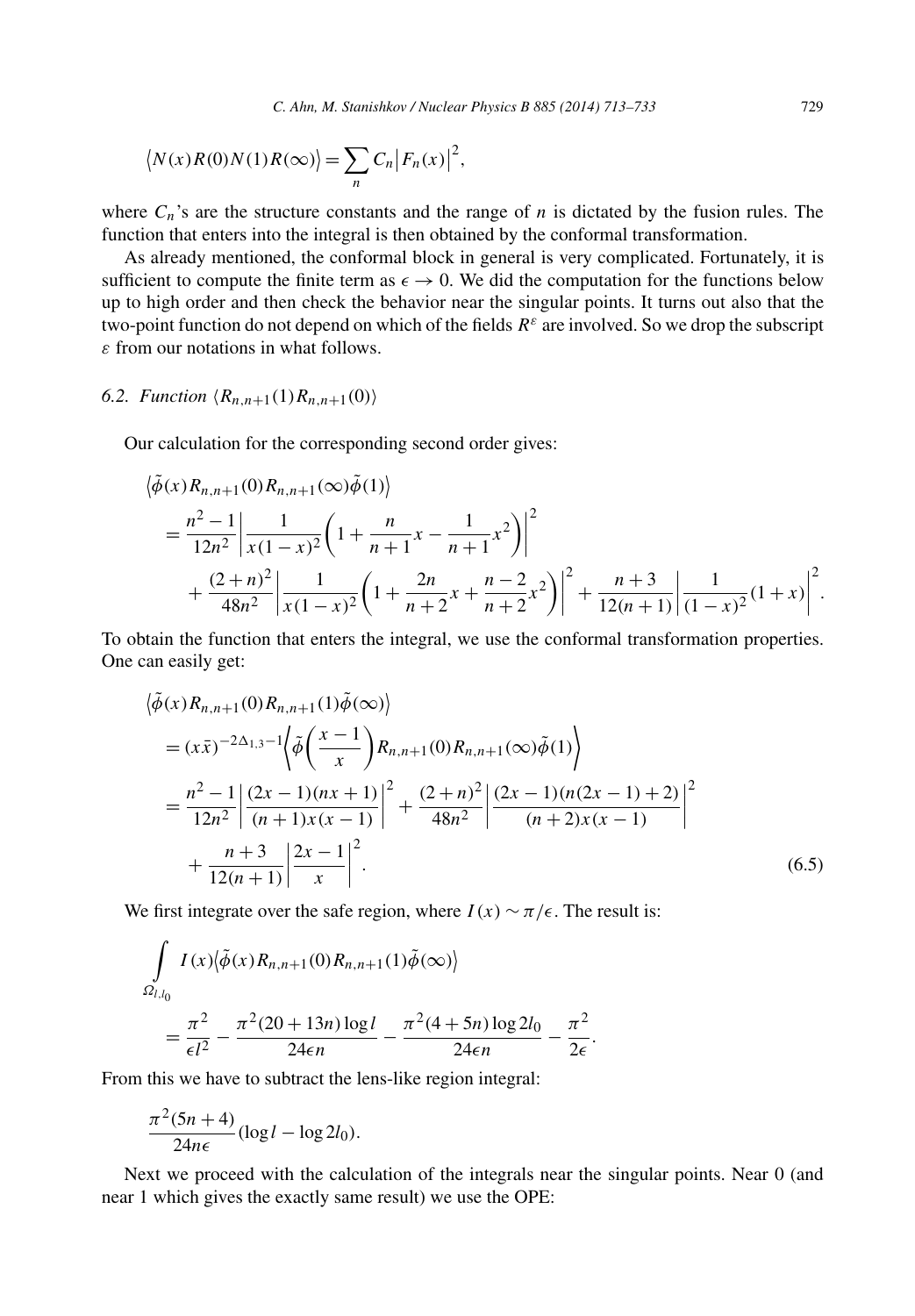<span id="page-16-0"></span>
$$
\langle N(x)R(0)N(1)R(\infty)\rangle = \sum_{n} C_n |F_n(x)|^2,
$$

where  $C_n$ 's are the structure constants and the range of  $n$  is dictated by the fusion rules. The function that enters into the integral is then obtained by the conformal transformation.

As already mentioned, the conformal block in general is very complicated. Fortunately, it is sufficient to compute the finite term as  $\epsilon \to 0$ . We did the computation for the functions below up to high order and then check the behavior near the singular points. It turns out also that the two-point function do not depend on which of the fields  $R^{\varepsilon}$  are involved. So we drop the subscript *ε* from our notations in what follows.

# 6.2. *Function*  $(R_{n,n+1}(1)R_{n,n+1}(0))$

Our calculation for the corresponding second order gives:

$$
\langle \tilde{\phi}(x) R_{n,n+1}(0) R_{n,n+1}(\infty) \tilde{\phi}(1) \rangle
$$
  
=  $\frac{n^2 - 1}{12n^2} \left| \frac{1}{x(1-x)^2} \left( 1 + \frac{n}{n+1} x - \frac{1}{n+1} x^2 \right) \right|^2$   
+  $\frac{(2+n)^2}{48n^2} \left| \frac{1}{x(1-x)^2} \left( 1 + \frac{2n}{n+2} x + \frac{n-2}{n+2} x^2 \right) \right|^2 + \frac{n+3}{12(n+1)} \left| \frac{1}{(1-x)^2} (1+x) \right|^2$ .

To obtain the function that enters the integral, we use the conformal transformation properties. One can easily get:

$$
\langle \tilde{\phi}(x)R_{n,n+1}(0)R_{n,n+1}(1)\tilde{\phi}(\infty) \rangle
$$
  
=  $(x\bar{x})^{-2\Delta_{1,3}-1} \Biggl\langle \tilde{\phi}\left(\frac{x-1}{x}\right)R_{n,n+1}(0)R_{n,n+1}(\infty)\tilde{\phi}(1)\Biggr\rangle$   
=  $\frac{n^2-1}{12n^2} \Biggl|\frac{(2x-1)(nx+1)}{(n+1)x(x-1)}\Biggr|^2 + \frac{(2+n)^2}{48n^2} \Biggl|\frac{(2x-1)(n(2x-1)+2)}{(n+2)x(x-1)}\Biggr|^2$   
+  $\frac{n+3}{12(n+1)} \Biggl|\frac{2x-1}{x}\Biggr|^2$ . (6.5)

We first integrate over the safe region, where  $I(x) \sim \pi/\epsilon$ . The result is:

$$
\int_{\Omega_{l,l_0}} I(x) \langle \tilde{\phi}(x) R_{n,n+1}(0) R_{n,n+1}(1) \tilde{\phi}(\infty) \rangle
$$
  
=  $\frac{\pi^2}{\epsilon l^2} - \frac{\pi^2 (20 + 13n) \log l}{24\epsilon n} - \frac{\pi^2 (4 + 5n) \log 2l_0}{24\epsilon n} - \frac{\pi^2}{2\epsilon}.$ 

From this we have to subtract the lens-like region integral:

$$
\frac{\pi^2(5n+4)}{24n\epsilon}(\log l - \log 2l_0).
$$

Next we proceed with the calculation of the integrals near the singular points. Near 0 (and near 1 which gives the exactly same result) we use the OPE: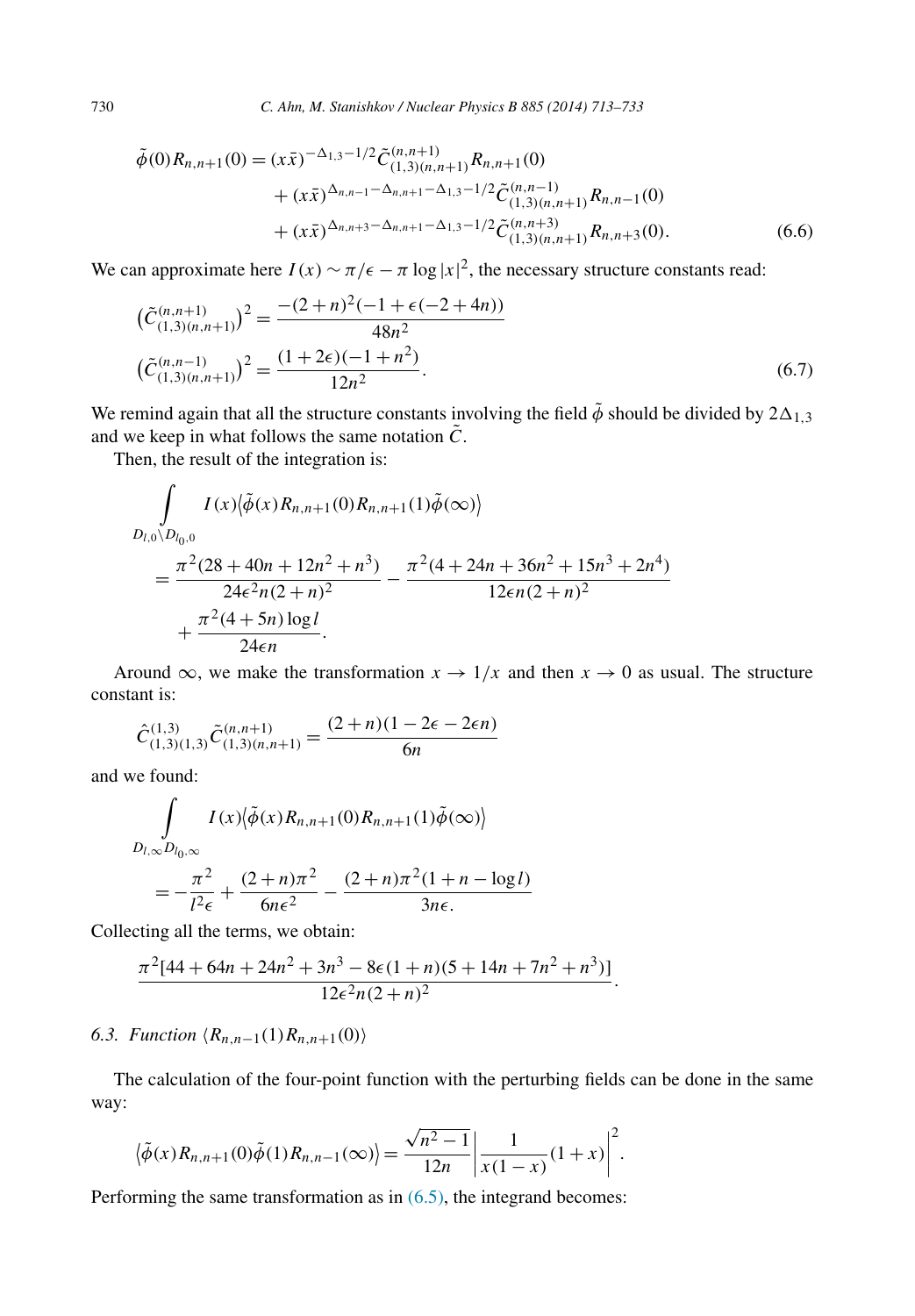<span id="page-17-0"></span>
$$
\tilde{\phi}(0)R_{n,n+1}(0) = (x\bar{x})^{-\Delta_{1,3}-1/2}\tilde{C}_{(1,3)(n,n+1)}^{(n,n+1)}R_{n,n+1}(0) \n+ (x\bar{x})^{\Delta_{n,n-1}-\Delta_{n,n+1}-\Delta_{1,3}-1/2}\tilde{C}_{(1,3)(n,n+1)}^{(n,n-1)}R_{n,n-1}(0) \n+ (x\bar{x})^{\Delta_{n,n+3}-\Delta_{n,n+1}-\Delta_{1,3}-1/2}\tilde{C}_{(1,3)(n,n+1)}^{(n,n+3)}R_{n,n+3}(0).
$$
\n(6.6)

We can approximate here  $I(x) \sim \pi/\epsilon - \pi \log |x|^2$ , the necessary structure constants read:

$$
\left(\tilde{C}_{(1,3)(n,n+1)}^{(n,n+1)}\right)^2 = \frac{-(2+n)^2(-1+\epsilon(-2+4n))}{48n^2}
$$

$$
\left(\tilde{C}_{(1,3)(n,n+1)}^{(n,n-1)}\right)^2 = \frac{(1+2\epsilon)(-1+n^2)}{12n^2}.
$$
\n(6.7)

We remind again that all the structure constants involving the field  $\tilde{\phi}$  should be divided by 2 $\Delta_{1,3}$ and we keep in what follows the same notation  $\tilde{C}$ .

Then, the result of the integration is:

$$
\int_{D_{l,0}\setminus D_{l_0,0}} I(x)\langle \tilde{\phi}(x)R_{n,n+1}(0)R_{n,n+1}(1)\tilde{\phi}(\infty)\rangle
$$
\n
$$
= \frac{\pi^2(28+40n+12n^2+n^3)}{24\epsilon^2n(2+n)^2} - \frac{\pi^2(4+24n+36n^2+15n^3+2n^4)}{12\epsilon n(2+n)^2} + \frac{\pi^2(4+5n)\log l}{24\epsilon n}.
$$

Around  $\infty$ , we make the transformation  $x \to 1/x$  and then  $x \to 0$  as usual. The structure constant is:

$$
\hat{C}_{(1,3)(1,3)}^{(1,3)}\tilde{C}_{(1,3)(n,n+1)}^{(n,n+1)} = \frac{(2+n)(1-2\epsilon-2\epsilon n)}{6n}
$$

and we found:

$$
\int_{D_{l,\infty}D_{l_0,\infty}} I(x)\langle \tilde{\phi}(x)R_{n,n+1}(0)R_{n,n+1}(1)\tilde{\phi}(\infty)\rangle
$$
  
= 
$$
-\frac{\pi^2}{l^2\epsilon} + \frac{(2+n)\pi^2}{6n\epsilon^2} - \frac{(2+n)\pi^2(1+n-\log l)}{3n\epsilon}
$$

Collecting all the terms, we obtain:

$$
\frac{\pi^2[44+64n+24n^2+3n^3-8\epsilon(1+n)(5+14n+7n^2+n^3)]}{12\epsilon^2n(2+n)^2}.
$$

*6.3. Function*  $\langle R_{n,n-1}(1)R_{n,n+1}(0) \rangle$ 

The calculation of the four-point function with the perturbing fields can be done in the same way:

$$
\langle \tilde{\phi}(x) R_{n,n+1}(0) \tilde{\phi}(1) R_{n,n-1}(\infty) \rangle = \frac{\sqrt{n^2 - 1}}{12n} \left| \frac{1}{x(1-x)} (1+x) \right|^2.
$$

Performing the same transformation as in  $(6.5)$ , the integrand becomes: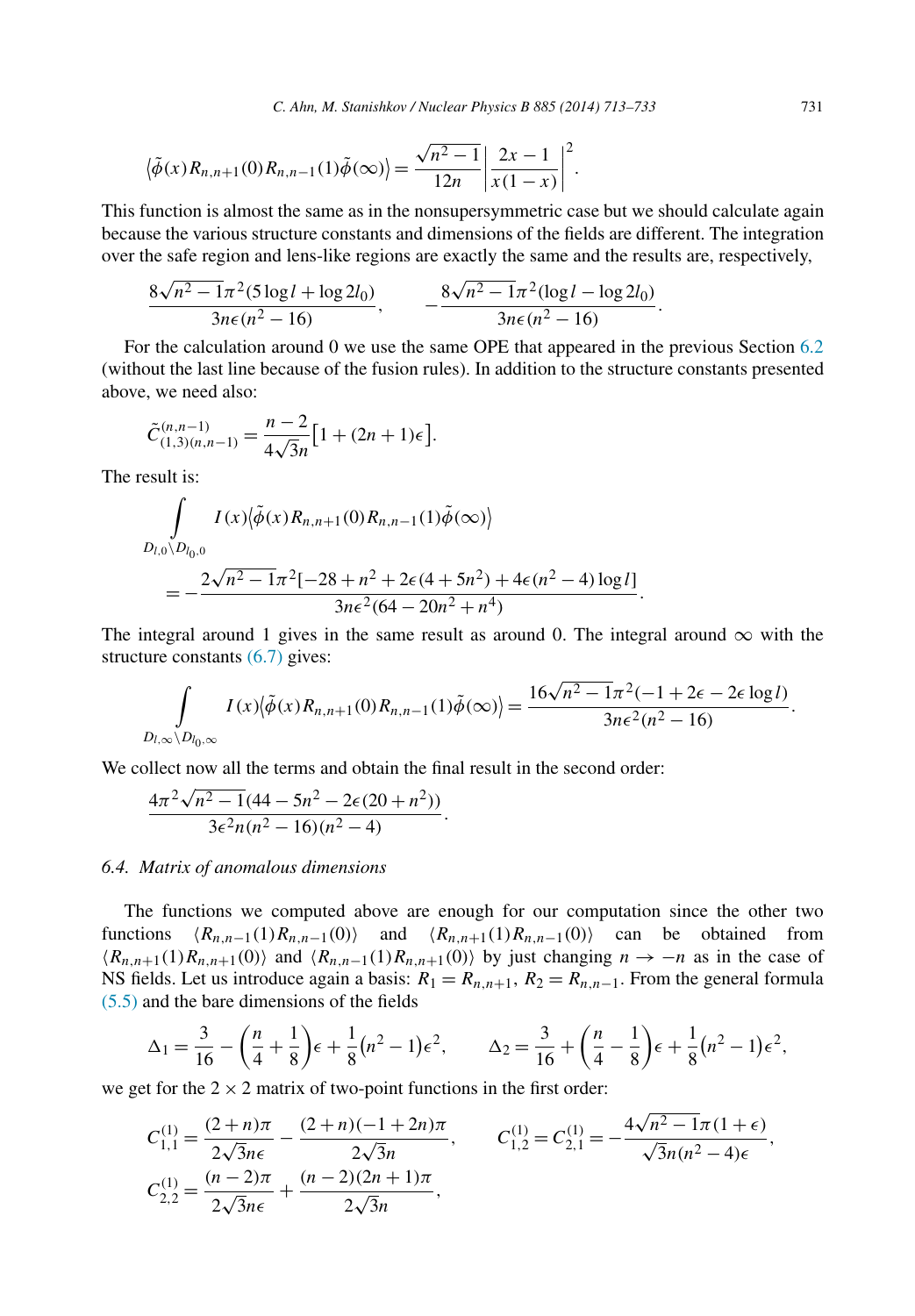$$
\langle \tilde{\phi}(x) R_{n,n+1}(0) R_{n,n-1}(1) \tilde{\phi}(\infty) \rangle = \frac{\sqrt{n^2 - 1}}{12n} \left| \frac{2x - 1}{x(1 - x)} \right|^2.
$$

This function is almost the same as in the nonsupersymmetric case but we should calculate again because the various structure constants and dimensions of the fields are different. The integration over the safe region and lens-like regions are exactly the same and the results are, respectively,

$$
\frac{8\sqrt{n^2-1}\pi^2(5\log l+\log 2l_0)}{3n\epsilon(n^2-16)}, \qquad -\frac{8\sqrt{n^2-1}\pi^2(\log l-\log 2l_0)}{3n\epsilon(n^2-16)}.
$$

For the calculation around 0 we use the same OPE that appeared in the previous Section [6.2](#page-16-0) (without the last line because of the fusion rules). In addition to the structure constants presented above, we need also:

$$
\tilde{C}_{(1,3)(n,n-1)}^{(n,n-1)} = \frac{n-2}{4\sqrt{3}n} \left[ 1 + (2n+1)\epsilon \right].
$$

The result is:

$$
\int_{D_{l,0}\setminus D_{l_0,0}} I(x)\langle \tilde{\phi}(x)R_{n,n+1}(0)R_{n,n-1}(1)\tilde{\phi}(\infty)\rangle
$$
  
= 
$$
-\frac{2\sqrt{n^2-1}\pi^2[-28+n^2+2\epsilon(4+5n^2)+4\epsilon(n^2-4)\log l]}{3n\epsilon^2(64-20n^2+n^4)}.
$$

The integral around 1 gives in the same result as around 0. The integral around  $\infty$  with the structure constants  $(6.7)$  gives:

$$
\int_{D_{l,\infty}\setminus D_{l_0,\infty}} I(x) \langle \tilde{\phi}(x) R_{n,n+1}(0) R_{n,n-1}(1) \tilde{\phi}(\infty) \rangle = \frac{16\sqrt{n^2 - 1}\pi^2(-1 + 2\epsilon - 2\epsilon \log l)}{3n\epsilon^2(n^2 - 16)}.
$$

We collect now all the terms and obtain the final result in the second order:

$$
\frac{4\pi^2\sqrt{n^2-1}(44-5n^2-2\epsilon(20+n^2))}{3\epsilon^2n(n^2-16)(n^2-4)}.
$$

#### *6.4. Matrix of anomalous dimensions*

The functions we computed above are enough for our computation since the other two functions  $\langle R_{n,n-1}(1)R_{n,n-1}(0) \rangle$  and  $\langle R_{n,n+1}(1)R_{n,n-1}(0) \rangle$  can be obtained from  $\langle R_{n,n+1}(1)R_{n,n+1}(0) \rangle$  and  $\langle R_{n,n-1}(1)R_{n,n+1}(0) \rangle$  by just changing  $n \to -n$  as in the case of NS fields. Let us introduce again a basis:  $R_1 = R_{n,n+1}$ ,  $R_2 = R_{n,n-1}$ . From the general formula [\(5.5\)](#page-12-0) and the bare dimensions of the fields

$$
\Delta_1 = \frac{3}{16} - \left(\frac{n}{4} + \frac{1}{8}\right)\epsilon + \frac{1}{8}(n^2 - 1)\epsilon^2, \qquad \Delta_2 = \frac{3}{16} + \left(\frac{n}{4} - \frac{1}{8}\right)\epsilon + \frac{1}{8}(n^2 - 1)\epsilon^2,
$$

we get for the  $2 \times 2$  matrix of two-point functions in the first order:

$$
C_{1,1}^{(1)} = \frac{(2+n)\pi}{2\sqrt{3}n\epsilon} - \frac{(2+n)(-1+2n)\pi}{2\sqrt{3}n}, \qquad C_{1,2}^{(1)} = C_{2,1}^{(1)} = -\frac{4\sqrt{n^2-1}\pi(1+\epsilon)}{\sqrt{3}n(n^2-4)\epsilon},
$$
  

$$
C_{2,2}^{(1)} = \frac{(n-2)\pi}{2\sqrt{3}n\epsilon} + \frac{(n-2)(2n+1)\pi}{2\sqrt{3}n},
$$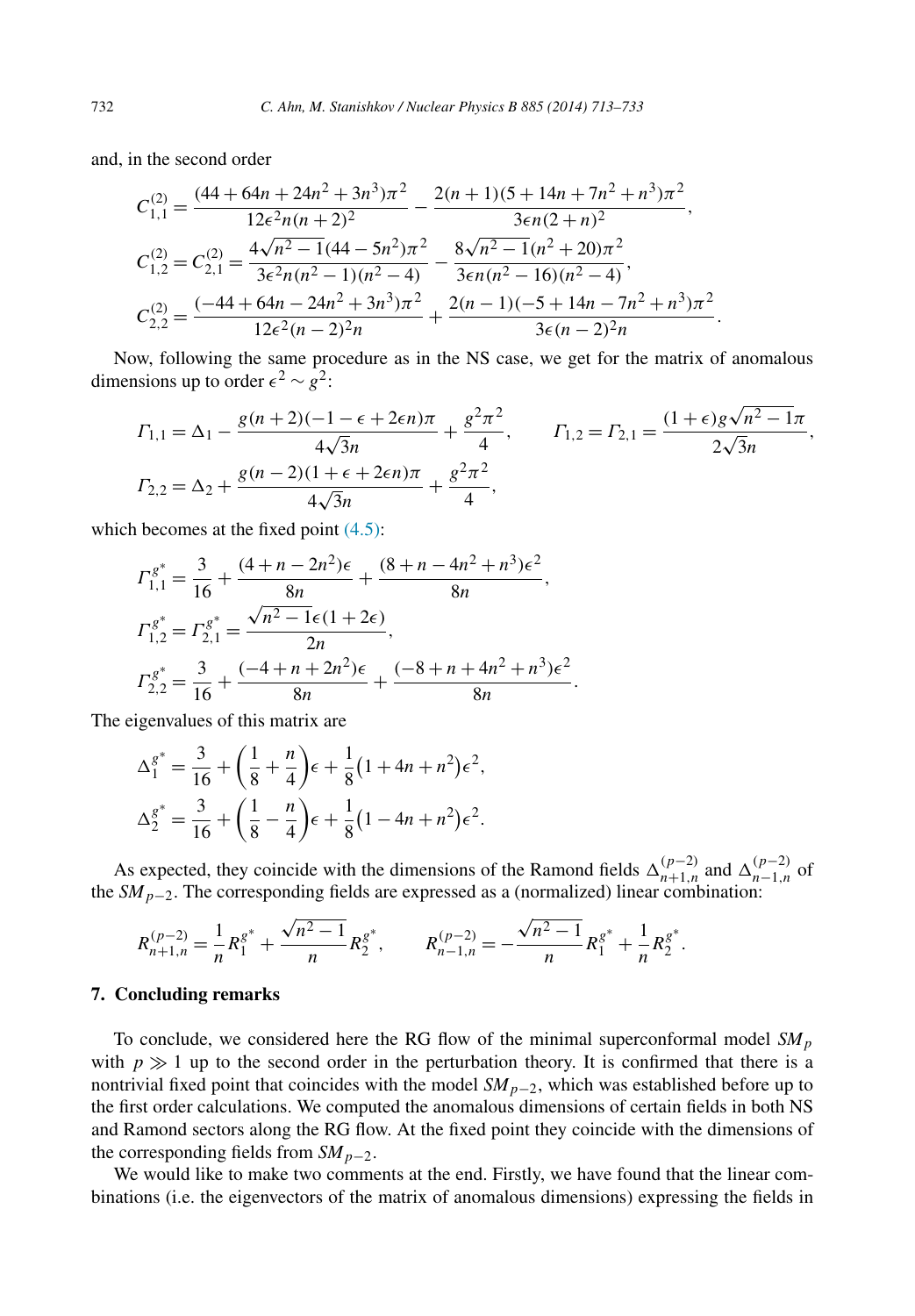and, in the second order

$$
C_{1,1}^{(2)} = \frac{(44 + 64n + 24n^2 + 3n^3)\pi^2}{12\epsilon^2 n(n+2)^2} - \frac{2(n+1)(5 + 14n + 7n^2 + n^3)\pi^2}{3\epsilon n(2+n)^2},
$$
  
\n
$$
C_{1,2}^{(2)} = C_{2,1}^{(2)} = \frac{4\sqrt{n^2 - 1}(44 - 5n^2)\pi^2}{3\epsilon^2 n(n^2 - 1)(n^2 - 4)} - \frac{8\sqrt{n^2 - 1}(n^2 + 20)\pi^2}{3\epsilon n(n^2 - 16)(n^2 - 4)},
$$
  
\n
$$
C_{2,2}^{(2)} = \frac{(-44 + 64n - 24n^2 + 3n^3)\pi^2}{12\epsilon^2 (n-2)^2 n} + \frac{2(n-1)(-5 + 14n - 7n^2 + n^3)\pi^2}{3\epsilon (n-2)^2 n}.
$$

Now, following the same procedure as in the NS case, we get for the matrix of anomalous dimensions up to order  $\epsilon^2 \sim g^2$ :

$$
F_{1,1} = \Delta_1 - \frac{g(n+2)(-1 - \epsilon + 2\epsilon n)\pi}{4\sqrt{3}n} + \frac{g^2\pi^2}{4}, \qquad F_{1,2} = F_{2,1} = \frac{(1+\epsilon)g\sqrt{n^2 - 1}\pi}{2\sqrt{3}n},
$$
  

$$
F_{2,2} = \Delta_2 + \frac{g(n-2)(1+\epsilon + 2\epsilon n)\pi}{4\sqrt{3}n} + \frac{g^2\pi^2}{4},
$$

which becomes at the fixed point  $(4.5)$ :

$$
\Gamma_{1,1}^{g^*} = \frac{3}{16} + \frac{(4+n-2n^2)\epsilon}{8n} + \frac{(8+n-4n^2+n^3)\epsilon^2}{8n},
$$
  
\n
$$
\Gamma_{1,2}^{g^*} = \Gamma_{2,1}^{g^*} = \frac{\sqrt{n^2-1}\epsilon(1+2\epsilon)}{2n},
$$
  
\n
$$
\Gamma_{2,2}^{g^*} = \frac{3}{16} + \frac{(-4+n+2n^2)\epsilon}{8n} + \frac{(-8+n+4n^2+n^3)\epsilon^2}{8n}.
$$

The eigenvalues of this matrix are

$$
\Delta_1^{g^*} = \frac{3}{16} + \left(\frac{1}{8} + \frac{n}{4}\right)\epsilon + \frac{1}{8}\left(1 + 4n + n^2\right)\epsilon^2,
$$
  

$$
\Delta_2^{g^*} = \frac{3}{16} + \left(\frac{1}{8} - \frac{n}{4}\right)\epsilon + \frac{1}{8}\left(1 - 4n + n^2\right)\epsilon^2.
$$

As expected, they coincide with the dimensions of the Ramond fields  $\Delta_{n+1,n}^{(p-2)}$  and  $\Delta_{n-1,n}^{(p-2)}$  of the  $SM_{p-2}$ . The corresponding fields are expressed as a (normalized) linear combination:

$$
R_{n+1,n}^{(p-2)} = \frac{1}{n} R_1^{g^*} + \frac{\sqrt{n^2 - 1}}{n} R_2^{g^*}, \qquad R_{n-1,n}^{(p-2)} = -\frac{\sqrt{n^2 - 1}}{n} R_1^{g^*} + \frac{1}{n} R_2^{g^*}.
$$

#### **7. Concluding remarks**

To conclude, we considered here the RG flow of the minimal superconformal model *SM<sup>p</sup>* with  $p \gg 1$  up to the second order in the perturbation theory. It is confirmed that there is a nontrivial fixed point that coincides with the model *SMp*<sup>−</sup>2, which was established before up to the first order calculations. We computed the anomalous dimensions of certain fields in both NS and Ramond sectors along the RG flow. At the fixed point they coincide with the dimensions of the corresponding fields from *SMp*<sup>−</sup>2.

We would like to make two comments at the end. Firstly, we have found that the linear combinations (i.e. the eigenvectors of the matrix of anomalous dimensions) expressing the fields in